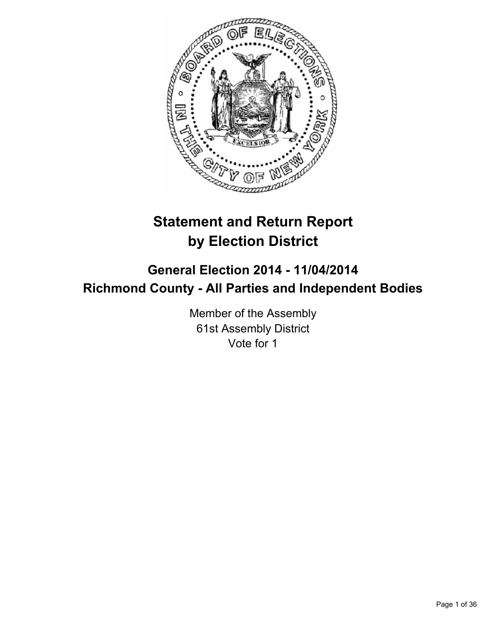

# **Statement and Return Report by Election District**

# **General Election 2014 - 11/04/2014 Richmond County - All Parties and Independent Bodies**

Member of the Assembly 61st Assembly District Vote for 1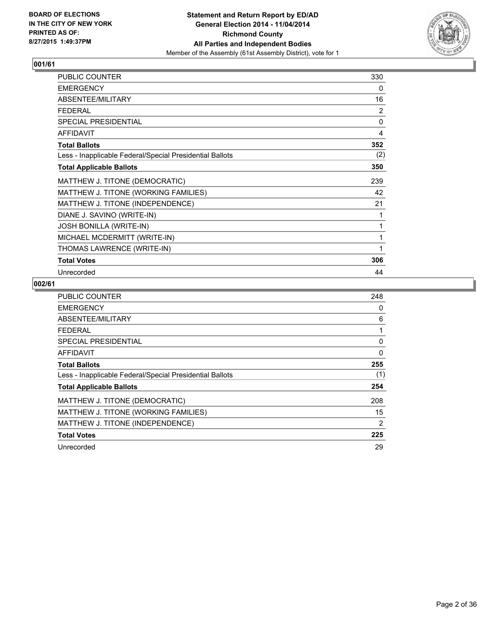

| <b>PUBLIC COUNTER</b>                                    | 330          |
|----------------------------------------------------------|--------------|
| <b>EMERGENCY</b>                                         | 0            |
| ABSENTEE/MILITARY                                        | 16           |
| <b>FEDERAL</b>                                           | 2            |
| SPECIAL PRESIDENTIAL                                     | $\mathbf{0}$ |
| <b>AFFIDAVIT</b>                                         | 4            |
| <b>Total Ballots</b>                                     | 352          |
| Less - Inapplicable Federal/Special Presidential Ballots | (2)          |
| <b>Total Applicable Ballots</b>                          | 350          |
| MATTHEW J. TITONE (DEMOCRATIC)                           | 239          |
| MATTHEW J. TITONE (WORKING FAMILIES)                     | 42           |
| MATTHEW J. TITONE (INDEPENDENCE)                         | 21           |
| DIANE J. SAVINO (WRITE-IN)                               | 1            |
| <b>JOSH BONILLA (WRITE-IN)</b>                           | 1            |
| MICHAEL MCDERMITT (WRITE-IN)                             | 1            |
| THOMAS LAWRENCE (WRITE-IN)                               | 1            |
| <b>Total Votes</b>                                       | 306          |
| Unrecorded                                               | 44           |

| <b>PUBLIC COUNTER</b>                                    | 248 |
|----------------------------------------------------------|-----|
| <b>EMERGENCY</b>                                         | 0   |
| ABSENTEE/MILITARY                                        | 6   |
| <b>FEDERAL</b>                                           |     |
| SPECIAL PRESIDENTIAL                                     | 0   |
| <b>AFFIDAVIT</b>                                         | 0   |
| <b>Total Ballots</b>                                     | 255 |
| Less - Inapplicable Federal/Special Presidential Ballots | (1) |
| <b>Total Applicable Ballots</b>                          | 254 |
| MATTHEW J. TITONE (DEMOCRATIC)                           | 208 |
| MATTHEW J. TITONE (WORKING FAMILIES)                     | 15  |
| MATTHEW J. TITONE (INDEPENDENCE)                         | 2   |
| <b>Total Votes</b>                                       | 225 |
| Unrecorded                                               | 29  |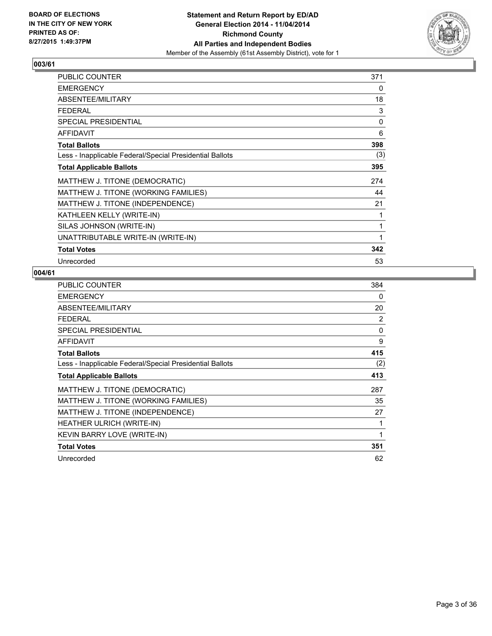

| PUBLIC COUNTER                                           | 371 |
|----------------------------------------------------------|-----|
| <b>EMERGENCY</b>                                         | 0   |
| ABSENTEE/MILITARY                                        | 18  |
| <b>FEDERAL</b>                                           | 3   |
| SPECIAL PRESIDENTIAL                                     | 0   |
| <b>AFFIDAVIT</b>                                         | 6   |
| <b>Total Ballots</b>                                     | 398 |
| Less - Inapplicable Federal/Special Presidential Ballots | (3) |
| <b>Total Applicable Ballots</b>                          | 395 |
| MATTHEW J. TITONE (DEMOCRATIC)                           | 274 |
| MATTHEW J. TITONE (WORKING FAMILIES)                     | 44  |
| MATTHEW J. TITONE (INDEPENDENCE)                         | 21  |
| KATHLEEN KELLY (WRITE-IN)                                | 1   |
| SILAS JOHNSON (WRITE-IN)                                 | 1   |
| UNATTRIBUTABLE WRITE-IN (WRITE-IN)                       | 1   |
| <b>Total Votes</b>                                       | 342 |
| Unrecorded                                               | 53  |

| <b>PUBLIC COUNTER</b>                                    | 384         |
|----------------------------------------------------------|-------------|
| <b>EMERGENCY</b>                                         | 0           |
| ABSENTEE/MILITARY                                        | 20          |
| <b>FEDERAL</b>                                           | 2           |
| SPECIAL PRESIDENTIAL                                     | 0           |
| <b>AFFIDAVIT</b>                                         | 9           |
| <b>Total Ballots</b>                                     | 415         |
| Less - Inapplicable Federal/Special Presidential Ballots | (2)         |
| <b>Total Applicable Ballots</b>                          | 413         |
| MATTHEW J. TITONE (DEMOCRATIC)                           | 287         |
| MATTHEW J. TITONE (WORKING FAMILIES)                     | 35          |
| MATTHEW J. TITONE (INDEPENDENCE)                         | 27          |
| HEATHER ULRICH (WRITE-IN)                                | 1           |
| KEVIN BARRY LOVE (WRITE-IN)                              | $\mathbf 1$ |
| <b>Total Votes</b>                                       | 351         |
| Unrecorded                                               | 62          |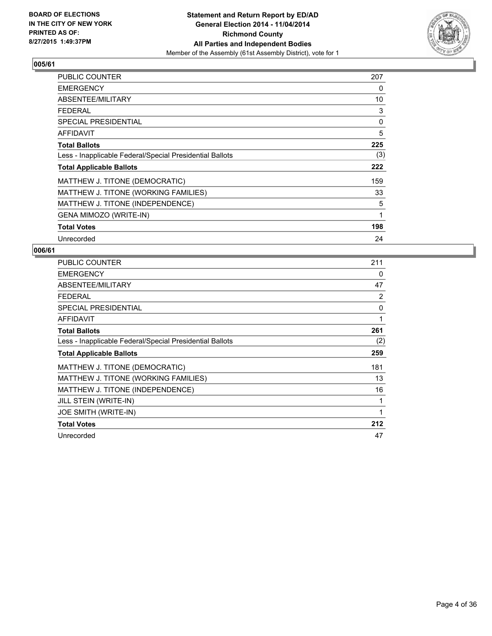

| <b>PUBLIC COUNTER</b>                                    | 207 |
|----------------------------------------------------------|-----|
| <b>EMERGENCY</b>                                         | 0   |
| ABSENTEE/MILITARY                                        | 10  |
| <b>FEDERAL</b>                                           | 3   |
| <b>SPECIAL PRESIDENTIAL</b>                              | 0   |
| <b>AFFIDAVIT</b>                                         | 5   |
| <b>Total Ballots</b>                                     | 225 |
| Less - Inapplicable Federal/Special Presidential Ballots | (3) |
| <b>Total Applicable Ballots</b>                          | 222 |
| MATTHEW J. TITONE (DEMOCRATIC)                           | 159 |
| MATTHEW J. TITONE (WORKING FAMILIES)                     | 33  |
| MATTHEW J. TITONE (INDEPENDENCE)                         | 5   |
| GENA MIMOZO (WRITE-IN)                                   | 1   |
| <b>Total Votes</b>                                       | 198 |
| Unrecorded                                               | 24  |

| <b>PUBLIC COUNTER</b>                                    | 211 |
|----------------------------------------------------------|-----|
| <b>EMERGENCY</b>                                         | 0   |
| ABSENTEE/MILITARY                                        | 47  |
| <b>FEDERAL</b>                                           | 2   |
| <b>SPECIAL PRESIDENTIAL</b>                              | 0   |
| <b>AFFIDAVIT</b>                                         | 1   |
| <b>Total Ballots</b>                                     | 261 |
| Less - Inapplicable Federal/Special Presidential Ballots | (2) |
| <b>Total Applicable Ballots</b>                          | 259 |
| MATTHEW J. TITONE (DEMOCRATIC)                           | 181 |
| MATTHEW J. TITONE (WORKING FAMILIES)                     | 13  |
| MATTHEW J. TITONE (INDEPENDENCE)                         | 16  |
| JILL STEIN (WRITE-IN)                                    | 1   |
| JOE SMITH (WRITE-IN)                                     | 1   |
| <b>Total Votes</b>                                       | 212 |
| Unrecorded                                               | 47  |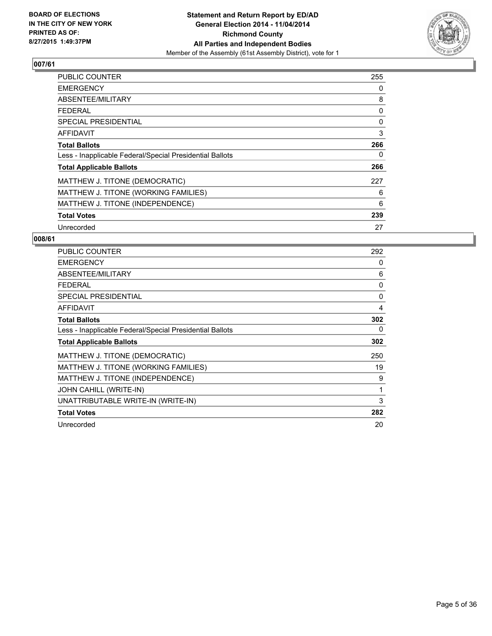

| <b>PUBLIC COUNTER</b>                                    | 255 |
|----------------------------------------------------------|-----|
| <b>EMERGENCY</b>                                         | 0   |
| ABSENTEE/MILITARY                                        | 8   |
| <b>FEDERAL</b>                                           | 0   |
| SPECIAL PRESIDENTIAL                                     | 0   |
| <b>AFFIDAVIT</b>                                         | 3   |
| <b>Total Ballots</b>                                     | 266 |
| Less - Inapplicable Federal/Special Presidential Ballots | 0   |
| <b>Total Applicable Ballots</b>                          | 266 |
| MATTHEW J. TITONE (DEMOCRATIC)                           | 227 |
| MATTHEW J. TITONE (WORKING FAMILIES)                     | 6   |
| MATTHEW J. TITONE (INDEPENDENCE)                         | 6   |
| <b>Total Votes</b>                                       | 239 |
| Unrecorded                                               | 27  |

| <b>PUBLIC COUNTER</b>                                    | 292 |
|----------------------------------------------------------|-----|
| <b>EMERGENCY</b>                                         | 0   |
| ABSENTEE/MILITARY                                        | 6   |
| FEDERAL                                                  | 0   |
| <b>SPECIAL PRESIDENTIAL</b>                              | 0   |
| <b>AFFIDAVIT</b>                                         | 4   |
| <b>Total Ballots</b>                                     | 302 |
| Less - Inapplicable Federal/Special Presidential Ballots | 0   |
| <b>Total Applicable Ballots</b>                          | 302 |
| MATTHEW J. TITONE (DEMOCRATIC)                           | 250 |
| MATTHEW J. TITONE (WORKING FAMILIES)                     | 19  |
| MATTHEW J. TITONE (INDEPENDENCE)                         | 9   |
| JOHN CAHILL (WRITE-IN)                                   | 1   |
| UNATTRIBUTABLE WRITE-IN (WRITE-IN)                       | 3   |
| <b>Total Votes</b>                                       | 282 |
| Unrecorded                                               | 20  |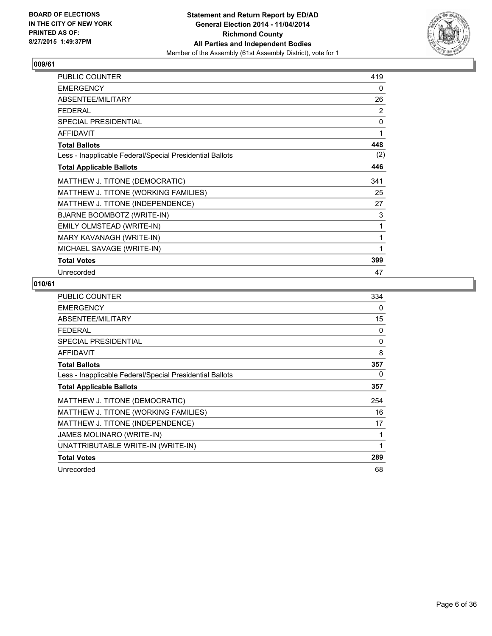

| <b>PUBLIC COUNTER</b>                                    | 419          |
|----------------------------------------------------------|--------------|
| <b>EMERGENCY</b>                                         | 0            |
| ABSENTEE/MILITARY                                        | 26           |
| <b>FEDERAL</b>                                           | 2            |
| <b>SPECIAL PRESIDENTIAL</b>                              | $\mathbf{0}$ |
| <b>AFFIDAVIT</b>                                         | 1            |
| <b>Total Ballots</b>                                     | 448          |
| Less - Inapplicable Federal/Special Presidential Ballots | (2)          |
| <b>Total Applicable Ballots</b>                          | 446          |
| MATTHEW J. TITONE (DEMOCRATIC)                           | 341          |
| MATTHEW J. TITONE (WORKING FAMILIES)                     | 25           |
| MATTHEW J. TITONE (INDEPENDENCE)                         | 27           |
| BJARNE BOOMBOTZ (WRITE-IN)                               | 3            |
| EMILY OLMSTEAD (WRITE-IN)                                | 1            |
| MARY KAVANAGH (WRITE-IN)                                 | 1            |
| MICHAEL SAVAGE (WRITE-IN)                                | 1            |
| <b>Total Votes</b>                                       | 399          |
| Unrecorded                                               | 47           |

| <b>PUBLIC COUNTER</b>                                    | 334          |
|----------------------------------------------------------|--------------|
| <b>EMERGENCY</b>                                         | 0            |
| ABSENTEE/MILITARY                                        | 15           |
| <b>FEDERAL</b>                                           | 0            |
| <b>SPECIAL PRESIDENTIAL</b>                              | 0            |
| <b>AFFIDAVIT</b>                                         | 8            |
| <b>Total Ballots</b>                                     | 357          |
| Less - Inapplicable Federal/Special Presidential Ballots | 0            |
| <b>Total Applicable Ballots</b>                          | 357          |
| MATTHEW J. TITONE (DEMOCRATIC)                           | 254          |
| MATTHEW J. TITONE (WORKING FAMILIES)                     | 16           |
| MATTHEW J. TITONE (INDEPENDENCE)                         | 17           |
| JAMES MOLINARO (WRITE-IN)                                | 1            |
| UNATTRIBUTABLE WRITE-IN (WRITE-IN)                       | $\mathbf{1}$ |
| <b>Total Votes</b>                                       | 289          |
| Unrecorded                                               | 68           |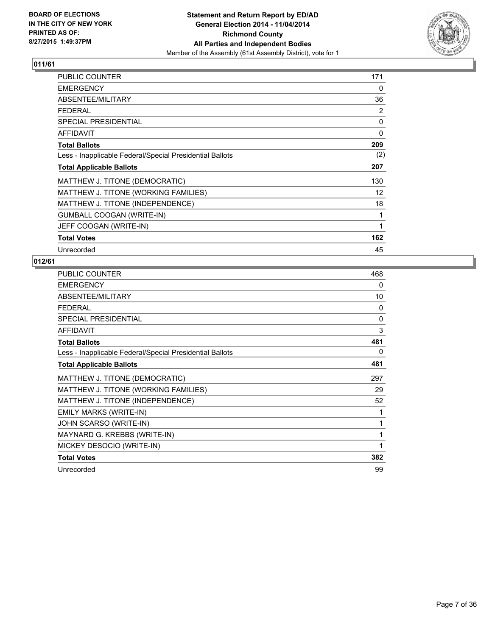

| <b>PUBLIC COUNTER</b>                                    | 171 |
|----------------------------------------------------------|-----|
| <b>EMERGENCY</b>                                         | 0   |
| ABSENTEE/MILITARY                                        | 36  |
| <b>FEDERAL</b>                                           | 2   |
| <b>SPECIAL PRESIDENTIAL</b>                              | 0   |
| AFFIDAVIT                                                | 0   |
| <b>Total Ballots</b>                                     | 209 |
| Less - Inapplicable Federal/Special Presidential Ballots | (2) |
| <b>Total Applicable Ballots</b>                          | 207 |
| MATTHEW J. TITONE (DEMOCRATIC)                           | 130 |
| MATTHEW J. TITONE (WORKING FAMILIES)                     | 12  |
| MATTHEW J. TITONE (INDEPENDENCE)                         | 18  |
| <b>GUMBALL COOGAN (WRITE-IN)</b>                         | 1   |
| JEFF COOGAN (WRITE-IN)                                   | 1   |
| <b>Total Votes</b>                                       | 162 |
| Unrecorded                                               | 45  |

| <b>PUBLIC COUNTER</b>                                    | 468          |
|----------------------------------------------------------|--------------|
| <b>EMERGENCY</b>                                         | 0            |
| ABSENTEE/MILITARY                                        | 10           |
| <b>FFDFRAL</b>                                           | 0            |
| <b>SPECIAL PRESIDENTIAL</b>                              | $\Omega$     |
| <b>AFFIDAVIT</b>                                         | 3            |
| <b>Total Ballots</b>                                     | 481          |
| Less - Inapplicable Federal/Special Presidential Ballots | 0            |
| <b>Total Applicable Ballots</b>                          | 481          |
| MATTHEW J. TITONE (DEMOCRATIC)                           | 297          |
| MATTHEW J. TITONE (WORKING FAMILIES)                     | 29           |
| MATTHEW J. TITONE (INDEPENDENCE)                         | 52           |
| EMILY MARKS (WRITE-IN)                                   |              |
| JOHN SCARSO (WRITE-IN)                                   | 1            |
| MAYNARD G. KREBBS (WRITE-IN)                             | 1            |
| MICKEY DESOCIO (WRITE-IN)                                | $\mathbf{1}$ |
| <b>Total Votes</b>                                       | 382          |
| Unrecorded                                               | 99           |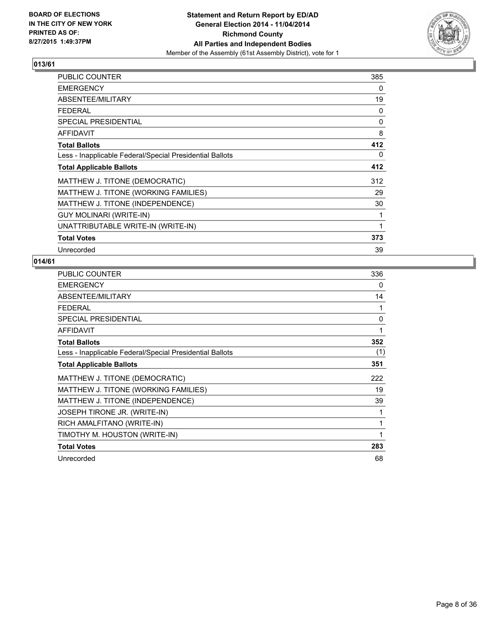

| <b>PUBLIC COUNTER</b>                                    | 385 |
|----------------------------------------------------------|-----|
| <b>EMERGENCY</b>                                         | 0   |
| ABSENTEE/MILITARY                                        | 19  |
| <b>FEDERAL</b>                                           | 0   |
| <b>SPECIAL PRESIDENTIAL</b>                              | 0   |
| AFFIDAVIT                                                | 8   |
| <b>Total Ballots</b>                                     | 412 |
| Less - Inapplicable Federal/Special Presidential Ballots | 0   |
| <b>Total Applicable Ballots</b>                          | 412 |
| MATTHEW J. TITONE (DEMOCRATIC)                           | 312 |
| MATTHEW J. TITONE (WORKING FAMILIES)                     | 29  |
| MATTHEW J. TITONE (INDEPENDENCE)                         | 30  |
| <b>GUY MOLINARI (WRITE-IN)</b>                           | 1   |
| UNATTRIBUTABLE WRITE-IN (WRITE-IN)                       | 1   |
| <b>Total Votes</b>                                       | 373 |
| Unrecorded                                               | 39  |

| <b>PUBLIC COUNTER</b>                                    | 336 |
|----------------------------------------------------------|-----|
| <b>EMERGENCY</b>                                         | 0   |
| ABSENTEE/MILITARY                                        | 14  |
| <b>FEDERAL</b>                                           | 1   |
| <b>SPECIAL PRESIDENTIAL</b>                              | 0   |
| <b>AFFIDAVIT</b>                                         | 1   |
| <b>Total Ballots</b>                                     | 352 |
| Less - Inapplicable Federal/Special Presidential Ballots | (1) |
| <b>Total Applicable Ballots</b>                          | 351 |
| MATTHEW J. TITONE (DEMOCRATIC)                           | 222 |
| MATTHEW J. TITONE (WORKING FAMILIES)                     | 19  |
| MATTHEW J. TITONE (INDEPENDENCE)                         | 39  |
| JOSEPH TIRONE JR. (WRITE-IN)                             | 1   |
| RICH AMALFITANO (WRITE-IN)                               | 1   |
| TIMOTHY M. HOUSTON (WRITE-IN)                            | 1   |
| <b>Total Votes</b>                                       | 283 |
| Unrecorded                                               | 68  |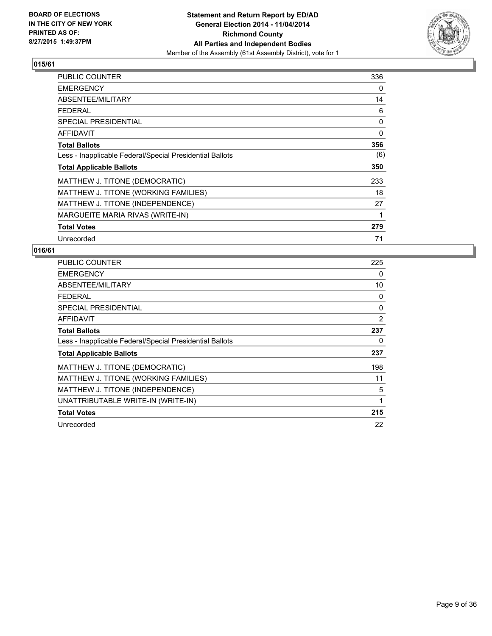

| PUBLIC COUNTER                                           | 336 |
|----------------------------------------------------------|-----|
| <b>EMERGENCY</b>                                         | 0   |
| ABSENTEE/MILITARY                                        | 14  |
| <b>FEDERAL</b>                                           | 6   |
| <b>SPECIAL PRESIDENTIAL</b>                              | 0   |
| <b>AFFIDAVIT</b>                                         | 0   |
| <b>Total Ballots</b>                                     | 356 |
| Less - Inapplicable Federal/Special Presidential Ballots | (6) |
| <b>Total Applicable Ballots</b>                          | 350 |
| MATTHEW J. TITONE (DEMOCRATIC)                           | 233 |
| MATTHEW J. TITONE (WORKING FAMILIES)                     | 18  |
| MATTHEW J. TITONE (INDEPENDENCE)                         | 27  |
| MARGUEITE MARIA RIVAS (WRITE-IN)                         | 1   |
| <b>Total Votes</b>                                       | 279 |
| Unrecorded                                               | 71  |

| <b>PUBLIC COUNTER</b>                                    | 225 |
|----------------------------------------------------------|-----|
| <b>EMERGENCY</b>                                         | 0   |
| ABSENTEE/MILITARY                                        | 10  |
| <b>FEDERAL</b>                                           | 0   |
| SPECIAL PRESIDENTIAL                                     | 0   |
| AFFIDAVIT                                                | 2   |
| <b>Total Ballots</b>                                     | 237 |
| Less - Inapplicable Federal/Special Presidential Ballots | 0   |
| <b>Total Applicable Ballots</b>                          | 237 |
| MATTHEW J. TITONE (DEMOCRATIC)                           | 198 |
| MATTHEW J. TITONE (WORKING FAMILIES)                     | 11  |
| MATTHEW J. TITONE (INDEPENDENCE)                         | 5   |
| UNATTRIBUTABLE WRITE-IN (WRITE-IN)                       | 1   |
| <b>Total Votes</b>                                       | 215 |
| Unrecorded                                               | 22  |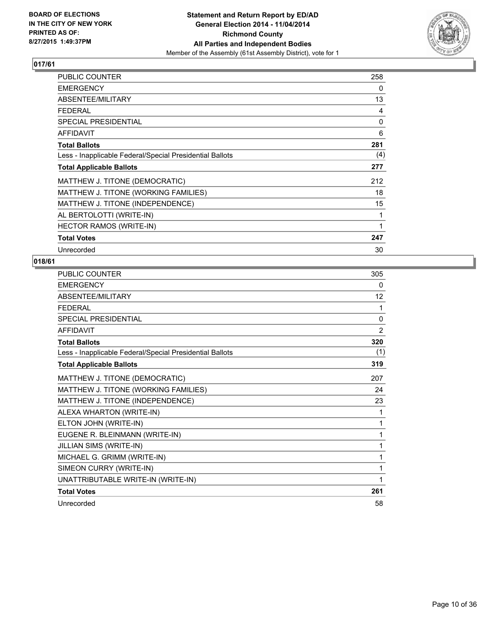

| <b>PUBLIC COUNTER</b>                                    | 258 |
|----------------------------------------------------------|-----|
| <b>EMERGENCY</b>                                         | 0   |
| ABSENTEE/MILITARY                                        | 13  |
| <b>FEDERAL</b>                                           | 4   |
| <b>SPECIAL PRESIDENTIAL</b>                              | 0   |
| <b>AFFIDAVIT</b>                                         | 6   |
| <b>Total Ballots</b>                                     | 281 |
| Less - Inapplicable Federal/Special Presidential Ballots | (4) |
| <b>Total Applicable Ballots</b>                          | 277 |
| MATTHEW J. TITONE (DEMOCRATIC)                           | 212 |
| MATTHEW J. TITONE (WORKING FAMILIES)                     | 18  |
| MATTHEW J. TITONE (INDEPENDENCE)                         | 15  |
| AL BERTOLOTTI (WRITE-IN)                                 | 1   |
| <b>HECTOR RAMOS (WRITE-IN)</b>                           | 1   |
| <b>Total Votes</b>                                       | 247 |
| Unrecorded                                               | 30  |

| PUBLIC COUNTER                                           | 305            |
|----------------------------------------------------------|----------------|
| <b>EMERGENCY</b>                                         | 0              |
| ABSENTEE/MILITARY                                        | 12             |
| <b>FFDFRAI</b>                                           | 1              |
| SPECIAL PRESIDENTIAL                                     | $\mathbf{0}$   |
| <b>AFFIDAVIT</b>                                         | $\overline{2}$ |
| <b>Total Ballots</b>                                     | 320            |
| Less - Inapplicable Federal/Special Presidential Ballots | (1)            |
| <b>Total Applicable Ballots</b>                          | 319            |
| MATTHEW J. TITONE (DEMOCRATIC)                           | 207            |
| MATTHEW J. TITONE (WORKING FAMILIES)                     | 24             |
| MATTHEW J. TITONE (INDEPENDENCE)                         | 23             |
| ALEXA WHARTON (WRITE-IN)                                 | 1              |
| ELTON JOHN (WRITE-IN)                                    | 1              |
| EUGENE R. BLEINMANN (WRITE-IN)                           | 1              |
| JILLIAN SIMS (WRITE-IN)                                  | 1              |
| MICHAEL G. GRIMM (WRITE-IN)                              | 1              |
| SIMEON CURRY (WRITE-IN)                                  | 1              |
| UNATTRIBUTABLE WRITE-IN (WRITE-IN)                       | 1              |
| <b>Total Votes</b>                                       | 261            |
| Unrecorded                                               | 58             |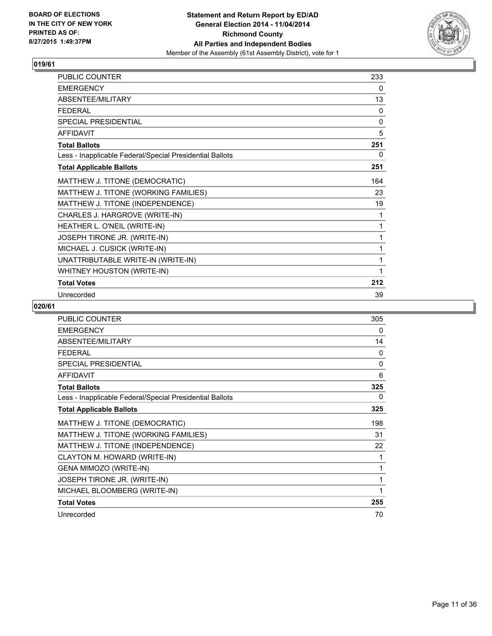

| PUBLIC COUNTER                                           | 233          |
|----------------------------------------------------------|--------------|
| <b>EMERGENCY</b>                                         | 0            |
| ABSENTEE/MILITARY                                        | 13           |
| <b>FEDERAL</b>                                           | $\mathbf{0}$ |
| <b>SPECIAL PRESIDENTIAL</b>                              | 0            |
| <b>AFFIDAVIT</b>                                         | 5            |
| <b>Total Ballots</b>                                     | 251          |
| Less - Inapplicable Federal/Special Presidential Ballots | 0            |
| <b>Total Applicable Ballots</b>                          | 251          |
| MATTHEW J. TITONE (DEMOCRATIC)                           | 164          |
| MATTHEW J. TITONE (WORKING FAMILIES)                     | 23           |
| MATTHEW J. TITONE (INDEPENDENCE)                         | 19           |
| CHARLES J. HARGROVE (WRITE-IN)                           | 1            |
| HEATHER L. O'NEIL (WRITE-IN)                             | 1            |
| JOSEPH TIRONE JR. (WRITE-IN)                             | 1            |
| MICHAEL J. CUSICK (WRITE-IN)                             | 1            |
| UNATTRIBUTABLE WRITE-IN (WRITE-IN)                       | 1            |
| WHITNEY HOUSTON (WRITE-IN)                               | 1            |
| <b>Total Votes</b>                                       | 212          |
| Unrecorded                                               | 39           |

| <b>PUBLIC COUNTER</b>                                    | 305 |
|----------------------------------------------------------|-----|
| <b>EMERGENCY</b>                                         | 0   |
| ABSENTEE/MILITARY                                        | 14  |
| <b>FEDERAL</b>                                           | 0   |
| SPECIAL PRESIDENTIAL                                     | 0   |
| <b>AFFIDAVIT</b>                                         | 6   |
| <b>Total Ballots</b>                                     | 325 |
| Less - Inapplicable Federal/Special Presidential Ballots | 0   |
| <b>Total Applicable Ballots</b>                          | 325 |
| MATTHEW J. TITONE (DEMOCRATIC)                           | 198 |
| MATTHEW J. TITONE (WORKING FAMILIES)                     | 31  |
| MATTHEW J. TITONE (INDEPENDENCE)                         | 22  |
| CLAYTON M. HOWARD (WRITE-IN)                             | 1   |
| GENA MIMOZO (WRITE-IN)                                   | 1   |
| JOSEPH TIRONE JR. (WRITE-IN)                             | 1   |
| MICHAEL BLOOMBERG (WRITE-IN)                             | 1   |
| <b>Total Votes</b>                                       | 255 |
| Unrecorded                                               | 70  |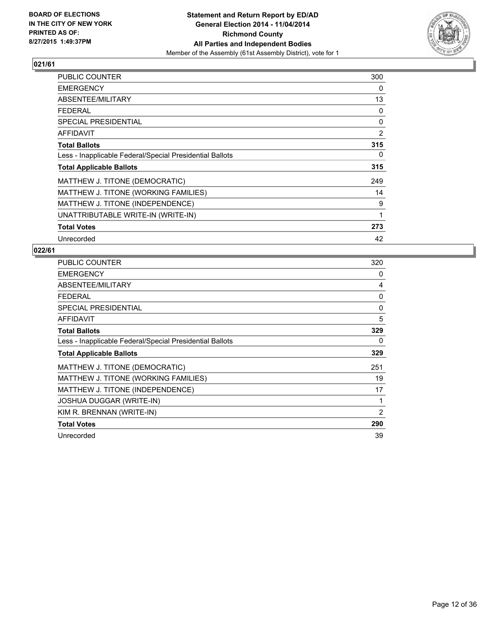

| PUBLIC COUNTER                                           | 300 |
|----------------------------------------------------------|-----|
| <b>EMERGENCY</b>                                         | 0   |
| ABSENTEE/MILITARY                                        | 13  |
| <b>FEDERAL</b>                                           | 0   |
| <b>SPECIAL PRESIDENTIAL</b>                              | 0   |
| <b>AFFIDAVIT</b>                                         | 2   |
| <b>Total Ballots</b>                                     | 315 |
| Less - Inapplicable Federal/Special Presidential Ballots | 0   |
| <b>Total Applicable Ballots</b>                          | 315 |
| MATTHEW J. TITONE (DEMOCRATIC)                           | 249 |
| MATTHEW J. TITONE (WORKING FAMILIES)                     | 14  |
| MATTHEW J. TITONE (INDEPENDENCE)                         | 9   |
| UNATTRIBUTABLE WRITE-IN (WRITE-IN)                       | 1   |
| <b>Total Votes</b>                                       | 273 |
| Unrecorded                                               | 42  |

| <b>PUBLIC COUNTER</b>                                    | 320 |
|----------------------------------------------------------|-----|
| <b>EMERGENCY</b>                                         | 0   |
| ABSENTEE/MILITARY                                        | 4   |
| <b>FEDERAL</b>                                           | 0   |
| SPECIAL PRESIDENTIAL                                     | 0   |
| <b>AFFIDAVIT</b>                                         | 5   |
| <b>Total Ballots</b>                                     | 329 |
| Less - Inapplicable Federal/Special Presidential Ballots | 0   |
| <b>Total Applicable Ballots</b>                          | 329 |
| MATTHEW J. TITONE (DEMOCRATIC)                           | 251 |
| MATTHEW J. TITONE (WORKING FAMILIES)                     | 19  |
| MATTHEW J. TITONE (INDEPENDENCE)                         | 17  |
| <b>JOSHUA DUGGAR (WRITE-IN)</b>                          | 1   |
| KIM R. BRENNAN (WRITE-IN)                                | 2   |
| <b>Total Votes</b>                                       | 290 |
| Unrecorded                                               | 39  |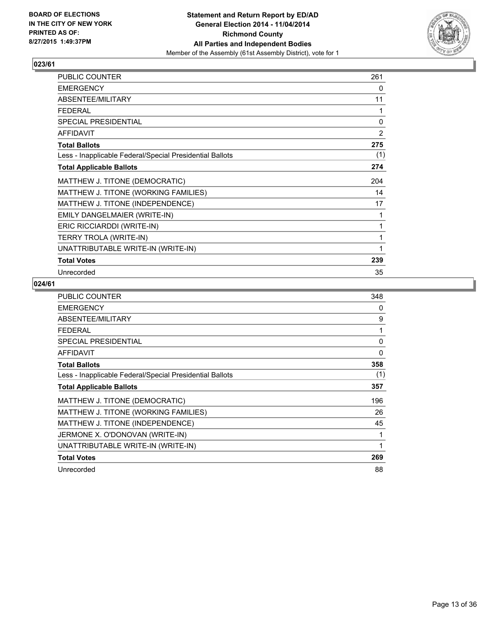

| PUBLIC COUNTER                                           | 261            |
|----------------------------------------------------------|----------------|
| <b>EMERGENCY</b>                                         | 0              |
| ABSENTEE/MILITARY                                        | 11             |
| <b>FEDERAL</b>                                           | 1              |
| <b>SPECIAL PRESIDENTIAL</b>                              | 0              |
| <b>AFFIDAVIT</b>                                         | $\overline{2}$ |
| <b>Total Ballots</b>                                     | 275            |
| Less - Inapplicable Federal/Special Presidential Ballots | (1)            |
| <b>Total Applicable Ballots</b>                          | 274            |
| MATTHEW J. TITONE (DEMOCRATIC)                           | 204            |
| MATTHEW J. TITONE (WORKING FAMILIES)                     | 14             |
| MATTHEW J. TITONE (INDEPENDENCE)                         | 17             |
| EMILY DANGELMAIER (WRITE-IN)                             | 1              |
| ERIC RICCIARDDI (WRITE-IN)                               | 1              |
| TERRY TROLA (WRITE-IN)                                   | 1              |
| UNATTRIBUTABLE WRITE-IN (WRITE-IN)                       | 1              |
| <b>Total Votes</b>                                       | 239            |
| Unrecorded                                               | 35             |

| <b>PUBLIC COUNTER</b>                                    | 348 |
|----------------------------------------------------------|-----|
| <b>EMERGENCY</b>                                         | 0   |
| ABSENTEE/MILITARY                                        | 9   |
| <b>FEDERAL</b>                                           | 1   |
| <b>SPECIAL PRESIDENTIAL</b>                              | 0   |
| <b>AFFIDAVIT</b>                                         | 0   |
| <b>Total Ballots</b>                                     | 358 |
| Less - Inapplicable Federal/Special Presidential Ballots | (1) |
| <b>Total Applicable Ballots</b>                          | 357 |
| MATTHEW J. TITONE (DEMOCRATIC)                           | 196 |
| MATTHEW J. TITONE (WORKING FAMILIES)                     | 26  |
| MATTHEW J. TITONE (INDEPENDENCE)                         | 45  |
| JERMONE X. O'DONOVAN (WRITE-IN)                          | 1   |
| UNATTRIBUTABLE WRITE-IN (WRITE-IN)                       | 1   |
| <b>Total Votes</b>                                       | 269 |
| Unrecorded                                               | 88  |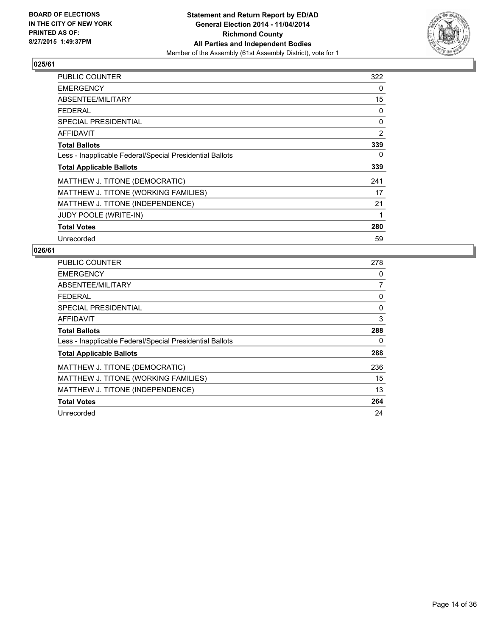

| <b>PUBLIC COUNTER</b>                                    | 322 |
|----------------------------------------------------------|-----|
| <b>EMERGENCY</b>                                         | 0   |
| ABSENTEE/MILITARY                                        | 15  |
| <b>FEDERAL</b>                                           | 0   |
| <b>SPECIAL PRESIDENTIAL</b>                              | 0   |
| AFFIDAVIT                                                | 2   |
| <b>Total Ballots</b>                                     | 339 |
| Less - Inapplicable Federal/Special Presidential Ballots | 0   |
| <b>Total Applicable Ballots</b>                          | 339 |
| MATTHEW J. TITONE (DEMOCRATIC)                           | 241 |
| MATTHEW J. TITONE (WORKING FAMILIES)                     | 17  |
| MATTHEW J. TITONE (INDEPENDENCE)                         | 21  |
| JUDY POOLE (WRITE-IN)                                    | 1   |
| <b>Total Votes</b>                                       | 280 |
| Unrecorded                                               | 59  |

| <b>PUBLIC COUNTER</b>                                    | 278 |
|----------------------------------------------------------|-----|
| <b>EMERGENCY</b>                                         | 0   |
| ABSENTEE/MILITARY                                        | 7   |
| <b>FEDERAL</b>                                           | 0   |
| SPECIAL PRESIDENTIAL                                     | 0   |
| <b>AFFIDAVIT</b>                                         | 3   |
| <b>Total Ballots</b>                                     | 288 |
| Less - Inapplicable Federal/Special Presidential Ballots | 0   |
| <b>Total Applicable Ballots</b>                          | 288 |
| MATTHEW J. TITONE (DEMOCRATIC)                           | 236 |
| MATTHEW J. TITONE (WORKING FAMILIES)                     | 15  |
| MATTHEW J. TITONE (INDEPENDENCE)                         | 13  |
| <b>Total Votes</b>                                       | 264 |
| Unrecorded                                               | 24  |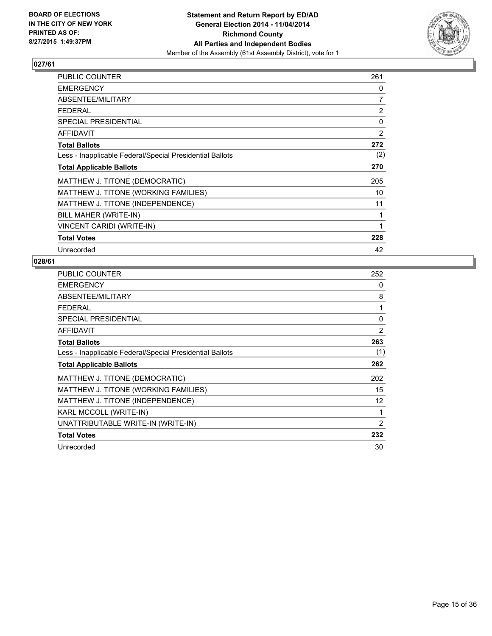

| PUBLIC COUNTER                                           | 261 |
|----------------------------------------------------------|-----|
| <b>EMERGENCY</b>                                         | 0   |
| ABSENTEE/MILITARY                                        | 7   |
| <b>FEDERAL</b>                                           | 2   |
| <b>SPECIAL PRESIDENTIAL</b>                              | 0   |
| <b>AFFIDAVIT</b>                                         | 2   |
| <b>Total Ballots</b>                                     | 272 |
| Less - Inapplicable Federal/Special Presidential Ballots | (2) |
| <b>Total Applicable Ballots</b>                          | 270 |
| MATTHEW J. TITONE (DEMOCRATIC)                           | 205 |
| MATTHEW J. TITONE (WORKING FAMILIES)                     | 10  |
| MATTHEW J. TITONE (INDEPENDENCE)                         | 11  |
| BILL MAHER (WRITE-IN)                                    | 1   |
| VINCENT CARIDI (WRITE-IN)                                | 1   |
| <b>Total Votes</b>                                       | 228 |
| Unrecorded                                               | 42  |

| <b>PUBLIC COUNTER</b>                                    | 252 |
|----------------------------------------------------------|-----|
| <b>EMERGENCY</b>                                         | 0   |
| ABSENTEE/MILITARY                                        | 8   |
| <b>FEDERAL</b>                                           | 1   |
| SPECIAL PRESIDENTIAL                                     | 0   |
| <b>AFFIDAVIT</b>                                         | 2   |
| <b>Total Ballots</b>                                     | 263 |
| Less - Inapplicable Federal/Special Presidential Ballots | (1) |
| <b>Total Applicable Ballots</b>                          | 262 |
| MATTHEW J. TITONE (DEMOCRATIC)                           | 202 |
| MATTHEW J. TITONE (WORKING FAMILIES)                     | 15  |
| MATTHEW J. TITONE (INDEPENDENCE)                         | 12  |
| KARL MCCOLL (WRITE-IN)                                   | 1   |
| UNATTRIBUTABLE WRITE-IN (WRITE-IN)                       | 2   |
| <b>Total Votes</b>                                       | 232 |
| Unrecorded                                               | 30  |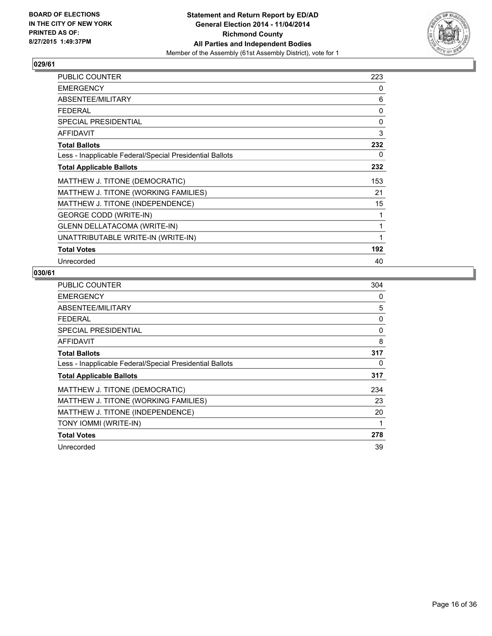

| PUBLIC COUNTER                                           | 223 |
|----------------------------------------------------------|-----|
| <b>EMERGENCY</b>                                         | 0   |
| ABSENTEE/MILITARY                                        | 6   |
| <b>FEDERAL</b>                                           | 0   |
| <b>SPECIAL PRESIDENTIAL</b>                              | 0   |
| <b>AFFIDAVIT</b>                                         | 3   |
| <b>Total Ballots</b>                                     | 232 |
| Less - Inapplicable Federal/Special Presidential Ballots | 0   |
| <b>Total Applicable Ballots</b>                          | 232 |
| MATTHEW J. TITONE (DEMOCRATIC)                           | 153 |
| MATTHEW J. TITONE (WORKING FAMILIES)                     | 21  |
| MATTHEW J. TITONE (INDEPENDENCE)                         | 15  |
| <b>GEORGE CODD (WRITE-IN)</b>                            | 1   |
| GLENN DELLATACOMA (WRITE-IN)                             | 1   |
| UNATTRIBUTABLE WRITE-IN (WRITE-IN)                       | 1   |
| <b>Total Votes</b>                                       | 192 |
| Unrecorded                                               | 40  |

| <b>PUBLIC COUNTER</b>                                    | 304 |
|----------------------------------------------------------|-----|
| <b>EMERGENCY</b>                                         | 0   |
| ABSENTEE/MILITARY                                        | 5   |
| <b>FEDERAL</b>                                           | 0   |
| SPECIAL PRESIDENTIAL                                     | 0   |
| <b>AFFIDAVIT</b>                                         | 8   |
| <b>Total Ballots</b>                                     | 317 |
| Less - Inapplicable Federal/Special Presidential Ballots | 0   |
| <b>Total Applicable Ballots</b>                          | 317 |
| MATTHEW J. TITONE (DEMOCRATIC)                           | 234 |
| MATTHEW J. TITONE (WORKING FAMILIES)                     | 23  |
| MATTHEW J. TITONE (INDEPENDENCE)                         | 20  |
| TONY IOMMI (WRITE-IN)                                    | 1   |
| <b>Total Votes</b>                                       | 278 |
| Unrecorded                                               | 39  |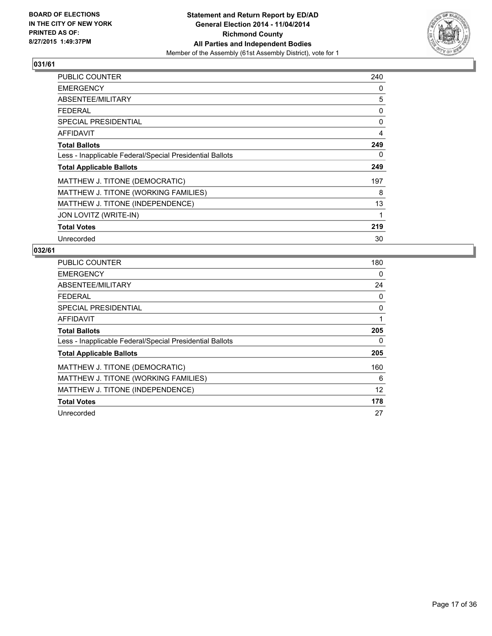

| PUBLIC COUNTER                                           | 240 |
|----------------------------------------------------------|-----|
| <b>EMERGENCY</b>                                         | 0   |
| ABSENTEE/MILITARY                                        | 5   |
| <b>FEDERAL</b>                                           | 0   |
| <b>SPECIAL PRESIDENTIAL</b>                              | 0   |
| <b>AFFIDAVIT</b>                                         | 4   |
| <b>Total Ballots</b>                                     | 249 |
| Less - Inapplicable Federal/Special Presidential Ballots | 0   |
| <b>Total Applicable Ballots</b>                          | 249 |
| MATTHEW J. TITONE (DEMOCRATIC)                           | 197 |
| MATTHEW J. TITONE (WORKING FAMILIES)                     | 8   |
| MATTHEW J. TITONE (INDEPENDENCE)                         | 13  |
| JON LOVITZ (WRITE-IN)                                    | 1   |
| <b>Total Votes</b>                                       | 219 |
| Unrecorded                                               | 30  |

| <b>PUBLIC COUNTER</b>                                    | 180 |
|----------------------------------------------------------|-----|
| <b>EMERGENCY</b>                                         | 0   |
| ABSENTEE/MILITARY                                        | 24  |
| <b>FEDERAL</b>                                           | 0   |
| SPECIAL PRESIDENTIAL                                     | 0   |
| <b>AFFIDAVIT</b>                                         | 1   |
| <b>Total Ballots</b>                                     | 205 |
| Less - Inapplicable Federal/Special Presidential Ballots | 0   |
| <b>Total Applicable Ballots</b>                          | 205 |
| MATTHEW J. TITONE (DEMOCRATIC)                           | 160 |
| MATTHEW J. TITONE (WORKING FAMILIES)                     | 6   |
| MATTHEW J. TITONE (INDEPENDENCE)                         | 12  |
| <b>Total Votes</b>                                       | 178 |
| Unrecorded                                               | 27  |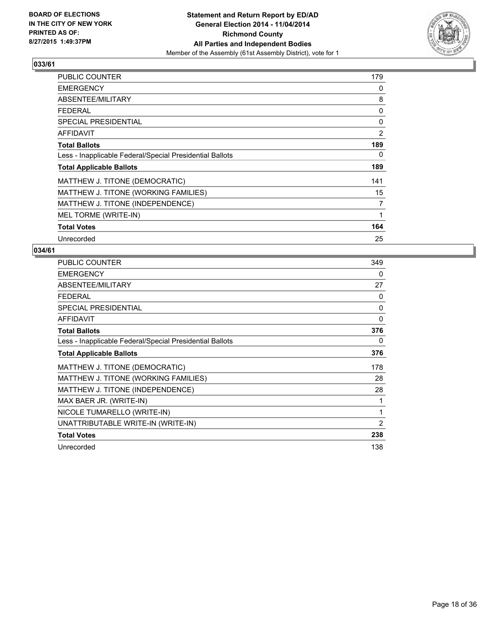

| <b>PUBLIC COUNTER</b>                                    | 179 |
|----------------------------------------------------------|-----|
| <b>EMERGENCY</b>                                         | 0   |
| ABSENTEE/MILITARY                                        | 8   |
| <b>FEDERAL</b>                                           | 0   |
| <b>SPECIAL PRESIDENTIAL</b>                              | 0   |
| <b>AFFIDAVIT</b>                                         | 2   |
| <b>Total Ballots</b>                                     | 189 |
| Less - Inapplicable Federal/Special Presidential Ballots | 0   |
| <b>Total Applicable Ballots</b>                          | 189 |
| MATTHEW J. TITONE (DEMOCRATIC)                           | 141 |
| MATTHEW J. TITONE (WORKING FAMILIES)                     | 15  |
| MATTHEW J. TITONE (INDEPENDENCE)                         | 7   |
| MEL TORME (WRITE-IN)                                     | 1   |
| <b>Total Votes</b>                                       | 164 |
| Unrecorded                                               | 25  |

| <b>PUBLIC COUNTER</b>                                    | 349            |
|----------------------------------------------------------|----------------|
| <b>EMERGENCY</b>                                         | 0              |
| ABSENTEE/MILITARY                                        | 27             |
| <b>FEDERAL</b>                                           | 0              |
| SPECIAL PRESIDENTIAL                                     | 0              |
| <b>AFFIDAVIT</b>                                         | 0              |
| <b>Total Ballots</b>                                     | 376            |
| Less - Inapplicable Federal/Special Presidential Ballots | 0              |
| <b>Total Applicable Ballots</b>                          | 376            |
| MATTHEW J. TITONE (DEMOCRATIC)                           | 178            |
| MATTHEW J. TITONE (WORKING FAMILIES)                     | 28             |
| MATTHEW J. TITONE (INDEPENDENCE)                         | 28             |
| MAX BAER JR. (WRITE-IN)                                  | 1              |
| NICOLE TUMARELLO (WRITE-IN)                              | 1              |
| UNATTRIBUTABLE WRITE-IN (WRITE-IN)                       | $\overline{2}$ |
| <b>Total Votes</b>                                       | 238            |
| Unrecorded                                               | 138            |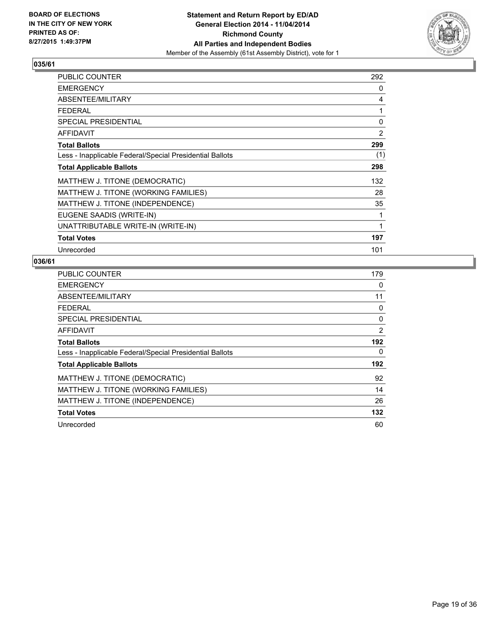

| <b>PUBLIC COUNTER</b>                                    | 292 |
|----------------------------------------------------------|-----|
| <b>EMERGENCY</b>                                         | 0   |
| ABSENTEE/MILITARY                                        | 4   |
| <b>FEDERAL</b>                                           | 1   |
| <b>SPECIAL PRESIDENTIAL</b>                              | 0   |
| AFFIDAVIT                                                | 2   |
| <b>Total Ballots</b>                                     | 299 |
| Less - Inapplicable Federal/Special Presidential Ballots | (1) |
| <b>Total Applicable Ballots</b>                          | 298 |
| MATTHEW J. TITONE (DEMOCRATIC)                           | 132 |
| MATTHEW J. TITONE (WORKING FAMILIES)                     | 28  |
| MATTHEW J. TITONE (INDEPENDENCE)                         | 35  |
| EUGENE SAADIS (WRITE-IN)                                 | 1   |
| UNATTRIBUTABLE WRITE-IN (WRITE-IN)                       | 1   |
| <b>Total Votes</b>                                       | 197 |
| Unrecorded                                               | 101 |

| <b>PUBLIC COUNTER</b>                                    | 179 |
|----------------------------------------------------------|-----|
| <b>EMERGENCY</b>                                         | 0   |
| ABSENTEE/MILITARY                                        | 11  |
| <b>FEDERAL</b>                                           | 0   |
| <b>SPECIAL PRESIDENTIAL</b>                              | 0   |
| <b>AFFIDAVIT</b>                                         | 2   |
| <b>Total Ballots</b>                                     | 192 |
| Less - Inapplicable Federal/Special Presidential Ballots | 0   |
| <b>Total Applicable Ballots</b>                          | 192 |
| MATTHEW J. TITONE (DEMOCRATIC)                           | 92  |
| MATTHEW J. TITONE (WORKING FAMILIES)                     | 14  |
| MATTHEW J. TITONE (INDEPENDENCE)                         | 26  |
| <b>Total Votes</b>                                       | 132 |
| Unrecorded                                               | 60  |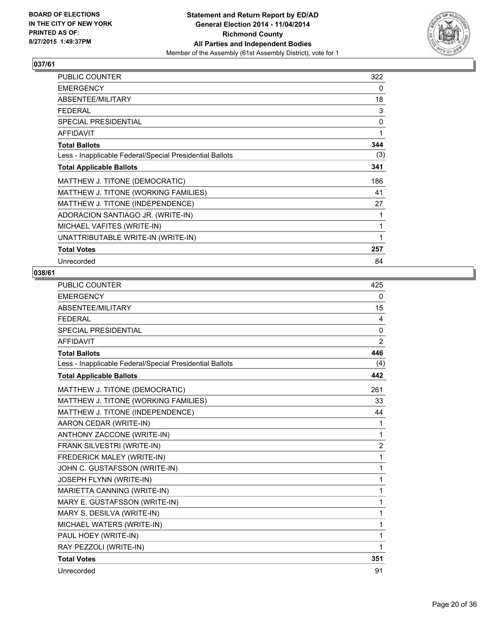

| PUBLIC COUNTER                                           | 322 |
|----------------------------------------------------------|-----|
| <b>EMERGENCY</b>                                         | 0   |
| ABSENTEE/MILITARY                                        | 18  |
| <b>FEDERAL</b>                                           | 3   |
| <b>SPECIAL PRESIDENTIAL</b>                              | 0   |
| <b>AFFIDAVIT</b>                                         | 1   |
| <b>Total Ballots</b>                                     | 344 |
| Less - Inapplicable Federal/Special Presidential Ballots | (3) |
| <b>Total Applicable Ballots</b>                          | 341 |
| MATTHEW J. TITONE (DEMOCRATIC)                           | 186 |
| MATTHEW J. TITONE (WORKING FAMILIES)                     | 41  |
| MATTHEW J. TITONE (INDEPENDENCE)                         | 27  |
| ADORACION SANTIAGO JR. (WRITE-IN)                        | 1   |
| MICHAEL VAFITES (WRITE-IN)                               | 1   |
| UNATTRIBUTABLE WRITE-IN (WRITE-IN)                       | 1   |
| <b>Total Votes</b>                                       | 257 |
| Unrecorded                                               | 84  |

| PUBLIC COUNTER                                           | 425            |
|----------------------------------------------------------|----------------|
| <b>EMERGENCY</b>                                         | 0              |
| ABSENTEE/MILITARY                                        | 15             |
| <b>FEDERAL</b>                                           | 4              |
| <b>SPECIAL PRESIDENTIAL</b>                              | 0              |
| <b>AFFIDAVIT</b>                                         | 2              |
| <b>Total Ballots</b>                                     | 446            |
| Less - Inapplicable Federal/Special Presidential Ballots | (4)            |
| <b>Total Applicable Ballots</b>                          | 442            |
| MATTHEW J. TITONE (DEMOCRATIC)                           | 261            |
| MATTHEW J. TITONE (WORKING FAMILIES)                     | 33             |
| MATTHEW J. TITONE (INDEPENDENCE)                         | 44             |
| AARON CEDAR (WRITE-IN)                                   | 1              |
| ANTHONY ZACCONE (WRITE-IN)                               | 1              |
| FRANK SILVESTRI (WRITE-IN)                               | $\overline{2}$ |
| FREDERICK MALEY (WRITE-IN)                               | 1              |
| JOHN C. GUSTAFSSON (WRITE-IN)                            | 1              |
| JOSEPH FLYNN (WRITE-IN)                                  | 1              |
| MARIETTA CANNING (WRITE-IN)                              | 1              |
| MARY E. GUSTAFSSON (WRITE-IN)                            | 1              |
| MARY S. DESILVA (WRITE-IN)                               | 1              |
| MICHAEL WATERS (WRITE-IN)                                | 1              |
| PAUL HOEY (WRITE-IN)                                     | 1              |
| RAY PEZZOLI (WRITE-IN)                                   | 1              |
| <b>Total Votes</b>                                       | 351            |
| Unrecorded                                               | 91             |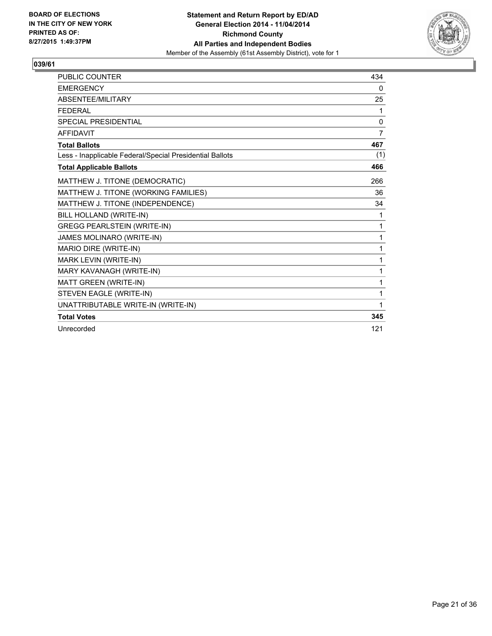

| <b>PUBLIC COUNTER</b>                                    | 434          |
|----------------------------------------------------------|--------------|
| <b>EMERGENCY</b>                                         | 0            |
| ABSENTEE/MILITARY                                        | 25           |
| <b>FEDERAL</b>                                           | 1            |
| <b>SPECIAL PRESIDENTIAL</b>                              | $\mathbf{0}$ |
| <b>AFFIDAVIT</b>                                         | 7            |
| <b>Total Ballots</b>                                     | 467          |
| Less - Inapplicable Federal/Special Presidential Ballots | (1)          |
| <b>Total Applicable Ballots</b>                          | 466          |
| MATTHEW J. TITONE (DEMOCRATIC)                           | 266          |
| MATTHEW J. TITONE (WORKING FAMILIES)                     | 36           |
| MATTHEW J. TITONE (INDEPENDENCE)                         | 34           |
| BILL HOLLAND (WRITE-IN)                                  | 1            |
| <b>GREGG PEARLSTEIN (WRITE-IN)</b>                       | 1            |
| JAMES MOLINARO (WRITE-IN)                                | 1            |
| MARIO DIRE (WRITE-IN)                                    | 1            |
| MARK LEVIN (WRITE-IN)                                    | 1            |
| MARY KAVANAGH (WRITE-IN)                                 | 1            |
| MATT GREEN (WRITE-IN)                                    | 1            |
| STEVEN EAGLE (WRITE-IN)                                  | 1            |
| UNATTRIBUTABLE WRITE-IN (WRITE-IN)                       | 1            |
| <b>Total Votes</b>                                       | 345          |
| Unrecorded                                               | 121          |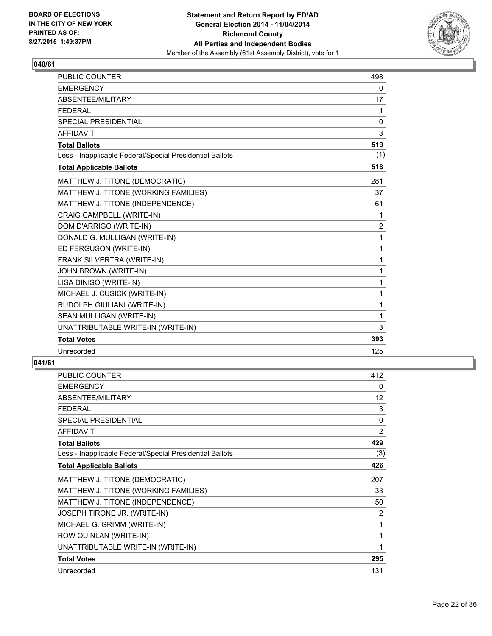

| <b>PUBLIC COUNTER</b>                                    | 498            |
|----------------------------------------------------------|----------------|
| <b>EMERGENCY</b>                                         | 0              |
| ABSENTEE/MILITARY                                        | 17             |
| <b>FEDERAL</b>                                           | 1              |
| <b>SPECIAL PRESIDENTIAL</b>                              | $\Omega$       |
| <b>AFFIDAVIT</b>                                         | 3              |
| <b>Total Ballots</b>                                     | 519            |
| Less - Inapplicable Federal/Special Presidential Ballots | (1)            |
| <b>Total Applicable Ballots</b>                          | 518            |
| MATTHEW J. TITONE (DEMOCRATIC)                           | 281            |
| MATTHEW J. TITONE (WORKING FAMILIES)                     | 37             |
| MATTHEW J. TITONE (INDEPENDENCE)                         | 61             |
| <b>CRAIG CAMPBELL (WRITE-IN)</b>                         | 1              |
| DOM D'ARRIGO (WRITE-IN)                                  | $\overline{2}$ |
| DONALD G. MULLIGAN (WRITE-IN)                            | $\mathbf{1}$   |
| ED FERGUSON (WRITE-IN)                                   | 1              |
| FRANK SILVERTRA (WRITE-IN)                               | 1              |
| JOHN BROWN (WRITE-IN)                                    | 1              |
| LISA DINISO (WRITE-IN)                                   | 1              |
| MICHAEL J. CUSICK (WRITE-IN)                             | 1              |
| RUDOLPH GIULIANI (WRITE-IN)                              | 1              |
| SEAN MULLIGAN (WRITE-IN)                                 | 1              |
| UNATTRIBUTABLE WRITE-IN (WRITE-IN)                       | 3              |
| <b>Total Votes</b>                                       | 393            |
| Unrecorded                                               | 125            |

| PUBLIC COUNTER                                           | 412            |
|----------------------------------------------------------|----------------|
| <b>EMERGENCY</b>                                         | 0              |
| ABSENTEE/MILITARY                                        | 12             |
| <b>FEDERAL</b>                                           | 3              |
| SPECIAL PRESIDENTIAL                                     | 0              |
| <b>AFFIDAVIT</b>                                         | $\overline{2}$ |
| <b>Total Ballots</b>                                     | 429            |
| Less - Inapplicable Federal/Special Presidential Ballots | (3)            |
| <b>Total Applicable Ballots</b>                          | 426            |
| MATTHEW J. TITONE (DEMOCRATIC)                           | 207            |
| MATTHEW J. TITONE (WORKING FAMILIES)                     | 33             |
| MATTHEW J. TITONE (INDEPENDENCE)                         | 50             |
| JOSEPH TIRONE JR. (WRITE-IN)                             | 2              |
| MICHAEL G. GRIMM (WRITE-IN)                              | 1              |
| ROW QUINLAN (WRITE-IN)                                   | 1              |
| UNATTRIBUTABLE WRITE-IN (WRITE-IN)                       | 1              |
| <b>Total Votes</b>                                       | 295            |
| Unrecorded                                               | 131            |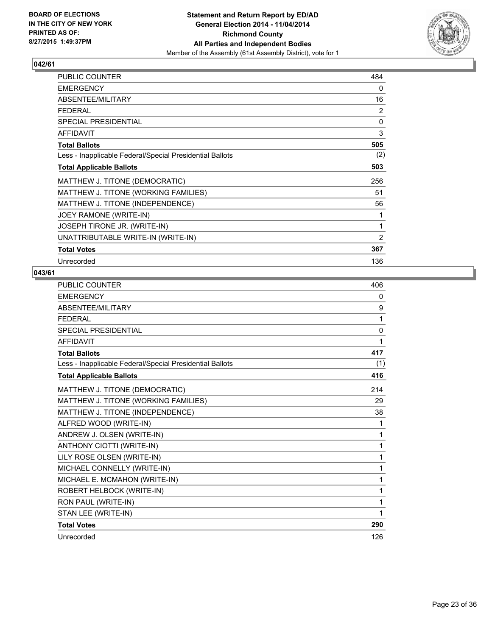

| PUBLIC COUNTER                                           | 484            |
|----------------------------------------------------------|----------------|
| <b>EMERGENCY</b>                                         | 0              |
| ABSENTEE/MILITARY                                        | 16             |
| <b>FEDERAL</b>                                           | 2              |
| SPECIAL PRESIDENTIAL                                     | 0              |
| <b>AFFIDAVIT</b>                                         | 3              |
| <b>Total Ballots</b>                                     | 505            |
| Less - Inapplicable Federal/Special Presidential Ballots | (2)            |
| <b>Total Applicable Ballots</b>                          | 503            |
| MATTHEW J. TITONE (DEMOCRATIC)                           | 256            |
| MATTHEW J. TITONE (WORKING FAMILIES)                     | 51             |
| MATTHEW J. TITONE (INDEPENDENCE)                         | 56             |
| JOEY RAMONE (WRITE-IN)                                   | 1              |
| JOSEPH TIRONE JR. (WRITE-IN)                             | 1              |
| UNATTRIBUTABLE WRITE-IN (WRITE-IN)                       | $\overline{2}$ |
| <b>Total Votes</b>                                       | 367            |
| Unrecorded                                               | 136            |

| <b>PUBLIC COUNTER</b>                                    | 406 |
|----------------------------------------------------------|-----|
| <b>EMERGENCY</b>                                         | 0   |
| ABSENTEE/MILITARY                                        | 9   |
| <b>FFDFRAL</b>                                           | 1   |
| SPECIAL PRESIDENTIAL                                     | 0   |
| <b>AFFIDAVIT</b>                                         | 1   |
| <b>Total Ballots</b>                                     | 417 |
| Less - Inapplicable Federal/Special Presidential Ballots | (1) |
| <b>Total Applicable Ballots</b>                          | 416 |
| MATTHEW J. TITONE (DEMOCRATIC)                           | 214 |
| MATTHEW J. TITONE (WORKING FAMILIES)                     | 29  |
| MATTHEW J. TITONE (INDEPENDENCE)                         | 38  |
| ALFRED WOOD (WRITE-IN)                                   | 1   |
| ANDREW J. OLSEN (WRITE-IN)                               | 1   |
| ANTHONY CIOTTI (WRITE-IN)                                | 1   |
| LILY ROSE OLSEN (WRITE-IN)                               | 1   |
| MICHAEL CONNELLY (WRITE-IN)                              | 1   |
| MICHAEL E. MCMAHON (WRITE-IN)                            | 1   |
| ROBERT HELBOCK (WRITE-IN)                                | 1   |
| RON PAUL (WRITE-IN)                                      | 1   |
| STAN LEE (WRITE-IN)                                      | 1   |
| <b>Total Votes</b>                                       | 290 |
| Unrecorded                                               | 126 |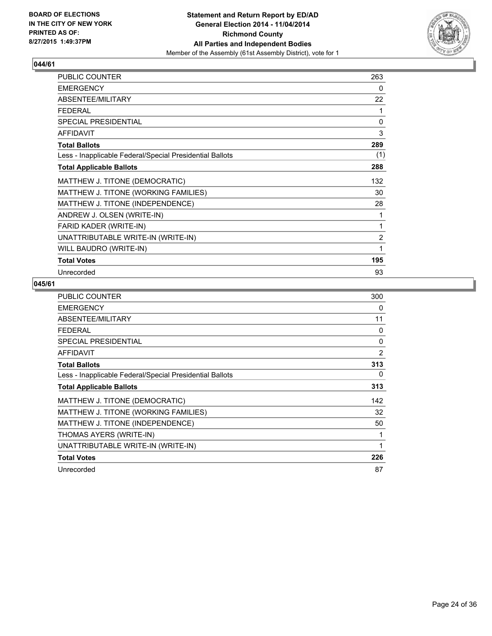

| PUBLIC COUNTER                                           | 263            |
|----------------------------------------------------------|----------------|
| <b>EMERGENCY</b>                                         | 0              |
| ABSENTEE/MILITARY                                        | 22             |
| <b>FEDERAL</b>                                           | 1              |
| <b>SPECIAL PRESIDENTIAL</b>                              | $\mathbf{0}$   |
| <b>AFFIDAVIT</b>                                         | 3              |
| <b>Total Ballots</b>                                     | 289            |
| Less - Inapplicable Federal/Special Presidential Ballots | (1)            |
| <b>Total Applicable Ballots</b>                          | 288            |
| MATTHEW J. TITONE (DEMOCRATIC)                           | 132            |
| MATTHEW J. TITONE (WORKING FAMILIES)                     | 30             |
| MATTHEW J. TITONE (INDEPENDENCE)                         | 28             |
| ANDREW J. OLSEN (WRITE-IN)                               | 1              |
| FARID KADER (WRITE-IN)                                   | 1              |
| UNATTRIBUTABLE WRITE-IN (WRITE-IN)                       | $\overline{2}$ |
| WILL BAUDRO (WRITE-IN)                                   | 1              |
| <b>Total Votes</b>                                       | 195            |
| Unrecorded                                               | 93             |

| <b>PUBLIC COUNTER</b>                                    | 300          |
|----------------------------------------------------------|--------------|
| <b>EMERGENCY</b>                                         | 0            |
| ABSENTEE/MILITARY                                        | 11           |
| <b>FEDERAL</b>                                           | 0            |
| <b>SPECIAL PRESIDENTIAL</b>                              | 0            |
| <b>AFFIDAVIT</b>                                         | 2            |
| <b>Total Ballots</b>                                     | 313          |
| Less - Inapplicable Federal/Special Presidential Ballots | 0            |
| <b>Total Applicable Ballots</b>                          | 313          |
| MATTHEW J. TITONE (DEMOCRATIC)                           | 142          |
| MATTHEW J. TITONE (WORKING FAMILIES)                     | 32           |
| MATTHEW J. TITONE (INDEPENDENCE)                         | 50           |
| THOMAS AYERS (WRITE-IN)                                  |              |
| UNATTRIBUTABLE WRITE-IN (WRITE-IN)                       | $\mathbf{1}$ |
| <b>Total Votes</b>                                       | 226          |
| Unrecorded                                               | 87           |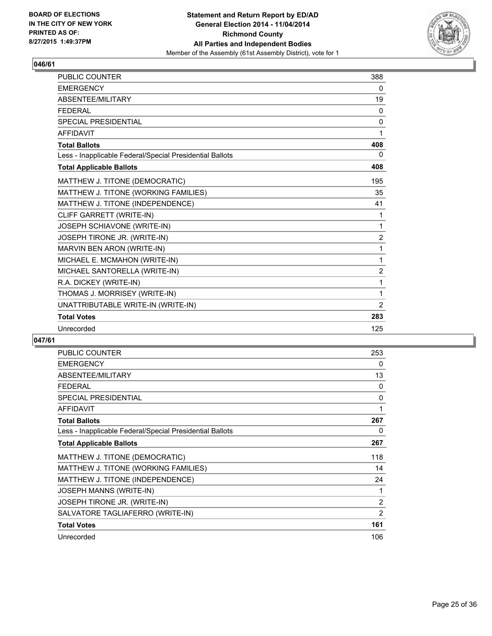

| PUBLIC COUNTER                                           | 388            |
|----------------------------------------------------------|----------------|
| <b>EMERGENCY</b>                                         | 0              |
| ABSENTEE/MILITARY                                        | 19             |
| <b>FEDERAL</b>                                           | 0              |
| <b>SPECIAL PRESIDENTIAL</b>                              | 0              |
| <b>AFFIDAVIT</b>                                         | 1              |
| <b>Total Ballots</b>                                     | 408            |
| Less - Inapplicable Federal/Special Presidential Ballots | 0              |
| <b>Total Applicable Ballots</b>                          | 408            |
| MATTHEW J. TITONE (DEMOCRATIC)                           | 195            |
| MATTHEW J. TITONE (WORKING FAMILIES)                     | 35             |
| MATTHEW J. TITONE (INDEPENDENCE)                         | 41             |
| CLIFF GARRETT (WRITE-IN)                                 | 1              |
| JOSEPH SCHIAVONE (WRITE-IN)                              | 1              |
| JOSEPH TIRONE JR. (WRITE-IN)                             | $\overline{2}$ |
| MARVIN BEN ARON (WRITE-IN)                               | 1              |
| MICHAEL E. MCMAHON (WRITE-IN)                            | 1              |
| MICHAEL SANTORELLA (WRITE-IN)                            | $\overline{2}$ |
| R.A. DICKEY (WRITE-IN)                                   | 1              |
| THOMAS J. MORRISEY (WRITE-IN)                            | 1              |
| UNATTRIBUTABLE WRITE-IN (WRITE-IN)                       | $\overline{2}$ |
| <b>Total Votes</b>                                       | 283            |
| Unrecorded                                               | 125            |

| <b>PUBLIC COUNTER</b>                                    | 253 |
|----------------------------------------------------------|-----|
| <b>EMERGENCY</b>                                         | 0   |
| ABSENTEE/MILITARY                                        | 13  |
| FEDERAL                                                  | 0   |
| <b>SPECIAL PRESIDENTIAL</b>                              | 0   |
| <b>AFFIDAVIT</b>                                         | 1   |
| <b>Total Ballots</b>                                     | 267 |
| Less - Inapplicable Federal/Special Presidential Ballots | 0   |
| <b>Total Applicable Ballots</b>                          | 267 |
| MATTHEW J. TITONE (DEMOCRATIC)                           | 118 |
| MATTHEW J. TITONE (WORKING FAMILIES)                     | 14  |
| MATTHEW J. TITONE (INDEPENDENCE)                         | 24  |
| <b>JOSEPH MANNS (WRITE-IN)</b>                           | 1   |
| JOSEPH TIRONE JR. (WRITE-IN)                             | 2   |
| SALVATORE TAGLIAFERRO (WRITE-IN)                         | 2   |
| <b>Total Votes</b>                                       | 161 |
| Unrecorded                                               | 106 |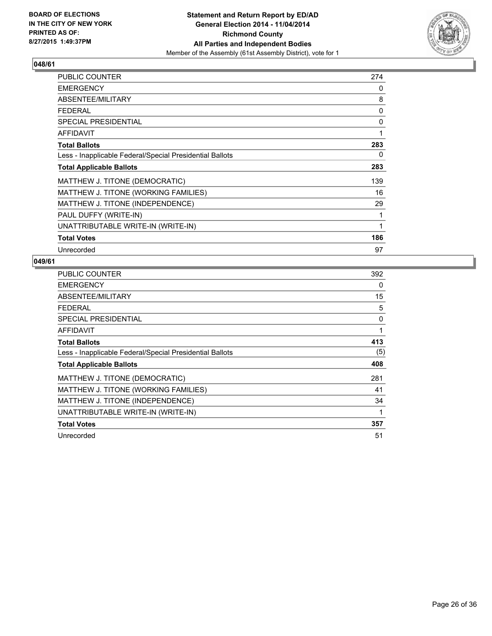

| <b>PUBLIC COUNTER</b>                                    | 274 |
|----------------------------------------------------------|-----|
| <b>EMERGENCY</b>                                         | 0   |
| ABSENTEE/MILITARY                                        | 8   |
| <b>FEDERAL</b>                                           | 0   |
| <b>SPECIAL PRESIDENTIAL</b>                              | 0   |
| <b>AFFIDAVIT</b>                                         | 1   |
| <b>Total Ballots</b>                                     | 283 |
| Less - Inapplicable Federal/Special Presidential Ballots | 0   |
| <b>Total Applicable Ballots</b>                          | 283 |
| MATTHEW J. TITONE (DEMOCRATIC)                           | 139 |
| MATTHEW J. TITONE (WORKING FAMILIES)                     | 16  |
| MATTHEW J. TITONE (INDEPENDENCE)                         | 29  |
| PAUL DUFFY (WRITE-IN)                                    | 1   |
| UNATTRIBUTABLE WRITE-IN (WRITE-IN)                       | 1   |
| <b>Total Votes</b>                                       | 186 |
| Unrecorded                                               | 97  |

| PUBLIC COUNTER                                           | 392 |
|----------------------------------------------------------|-----|
| <b>EMERGENCY</b>                                         | 0   |
| ABSENTEE/MILITARY                                        | 15  |
| <b>FEDERAL</b>                                           | 5   |
| <b>SPECIAL PRESIDENTIAL</b>                              | 0   |
| <b>AFFIDAVIT</b>                                         | 1   |
| <b>Total Ballots</b>                                     | 413 |
| Less - Inapplicable Federal/Special Presidential Ballots | (5) |
| <b>Total Applicable Ballots</b>                          | 408 |
| MATTHEW J. TITONE (DEMOCRATIC)                           | 281 |
| MATTHEW J. TITONE (WORKING FAMILIES)                     | 41  |
| MATTHEW J. TITONE (INDEPENDENCE)                         | 34  |
| UNATTRIBUTABLE WRITE-IN (WRITE-IN)                       | 1   |
| <b>Total Votes</b>                                       | 357 |
| Unrecorded                                               | 51  |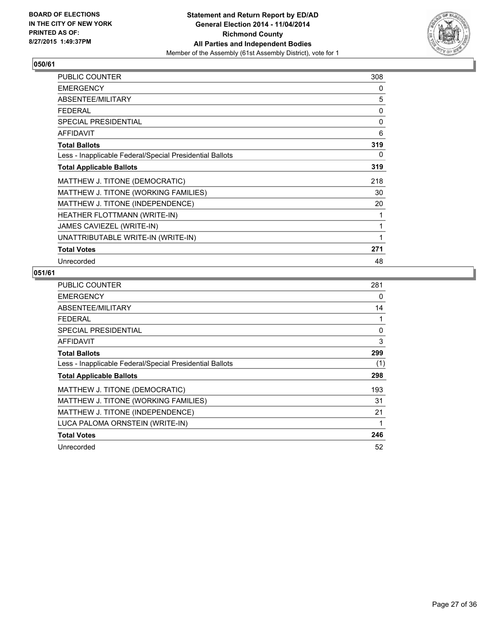

| PUBLIC COUNTER                                           | 308 |
|----------------------------------------------------------|-----|
| <b>EMERGENCY</b>                                         | 0   |
| ABSENTEE/MILITARY                                        | 5   |
| <b>FEDERAL</b>                                           | 0   |
| <b>SPECIAL PRESIDENTIAL</b>                              | 0   |
| <b>AFFIDAVIT</b>                                         | 6   |
| <b>Total Ballots</b>                                     | 319 |
| Less - Inapplicable Federal/Special Presidential Ballots | 0   |
| <b>Total Applicable Ballots</b>                          | 319 |
| MATTHEW J. TITONE (DEMOCRATIC)                           | 218 |
| MATTHEW J. TITONE (WORKING FAMILIES)                     | 30  |
| MATTHEW J. TITONE (INDEPENDENCE)                         | 20  |
| HEATHER FLOTTMANN (WRITE-IN)                             | 1   |
| JAMES CAVIEZEL (WRITE-IN)                                | 1   |
| UNATTRIBUTABLE WRITE-IN (WRITE-IN)                       | 1   |
| <b>Total Votes</b>                                       | 271 |
| Unrecorded                                               | 48  |

| <b>PUBLIC COUNTER</b>                                    | 281 |
|----------------------------------------------------------|-----|
| <b>EMERGENCY</b>                                         | 0   |
| ABSENTEE/MILITARY                                        | 14  |
| <b>FEDERAL</b>                                           | 1   |
| <b>SPECIAL PRESIDENTIAL</b>                              | 0   |
| <b>AFFIDAVIT</b>                                         | 3   |
| <b>Total Ballots</b>                                     | 299 |
| Less - Inapplicable Federal/Special Presidential Ballots | (1) |
| <b>Total Applicable Ballots</b>                          | 298 |
| MATTHEW J. TITONE (DEMOCRATIC)                           | 193 |
| MATTHEW J. TITONE (WORKING FAMILIES)                     | 31  |
| MATTHEW J. TITONE (INDEPENDENCE)                         | 21  |
| LUCA PALOMA ORNSTEIN (WRITE-IN)                          | 1   |
| <b>Total Votes</b>                                       | 246 |
| Unrecorded                                               | 52  |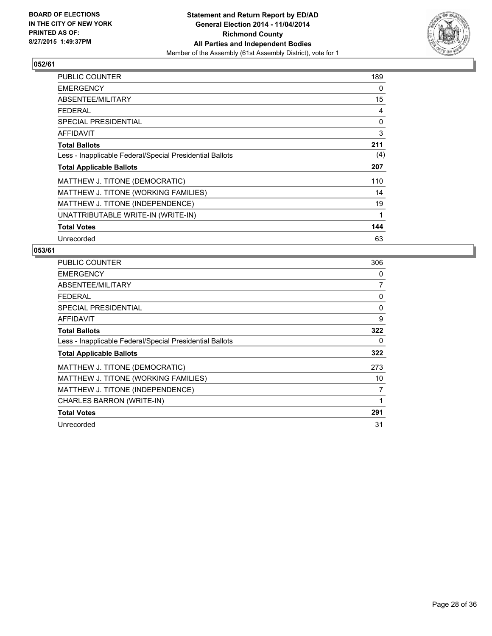

| PUBLIC COUNTER                                           | 189 |
|----------------------------------------------------------|-----|
| <b>EMERGENCY</b>                                         | 0   |
| ABSENTEE/MILITARY                                        | 15  |
| <b>FEDERAL</b>                                           | 4   |
| <b>SPECIAL PRESIDENTIAL</b>                              | 0   |
| <b>AFFIDAVIT</b>                                         | 3   |
| <b>Total Ballots</b>                                     | 211 |
| Less - Inapplicable Federal/Special Presidential Ballots | (4) |
| <b>Total Applicable Ballots</b>                          | 207 |
| MATTHEW J. TITONE (DEMOCRATIC)                           | 110 |
| MATTHEW J. TITONE (WORKING FAMILIES)                     | 14  |
| MATTHEW J. TITONE (INDEPENDENCE)                         | 19  |
| UNATTRIBUTABLE WRITE-IN (WRITE-IN)                       | 1   |
| <b>Total Votes</b>                                       | 144 |
| Unrecorded                                               | 63  |

| <b>PUBLIC COUNTER</b>                                    | 306 |
|----------------------------------------------------------|-----|
| <b>EMERGENCY</b>                                         | 0   |
| ABSENTEE/MILITARY                                        | 7   |
| <b>FEDERAL</b>                                           | 0   |
| SPECIAL PRESIDENTIAL                                     | 0   |
| AFFIDAVIT                                                | 9   |
| <b>Total Ballots</b>                                     | 322 |
| Less - Inapplicable Federal/Special Presidential Ballots | 0   |
| <b>Total Applicable Ballots</b>                          | 322 |
| MATTHEW J. TITONE (DEMOCRATIC)                           | 273 |
| MATTHEW J. TITONE (WORKING FAMILIES)                     | 10  |
| MATTHEW J. TITONE (INDEPENDENCE)                         | 7   |
| <b>CHARLES BARRON (WRITE-IN)</b>                         | 1   |
| <b>Total Votes</b>                                       | 291 |
| Unrecorded                                               | 31  |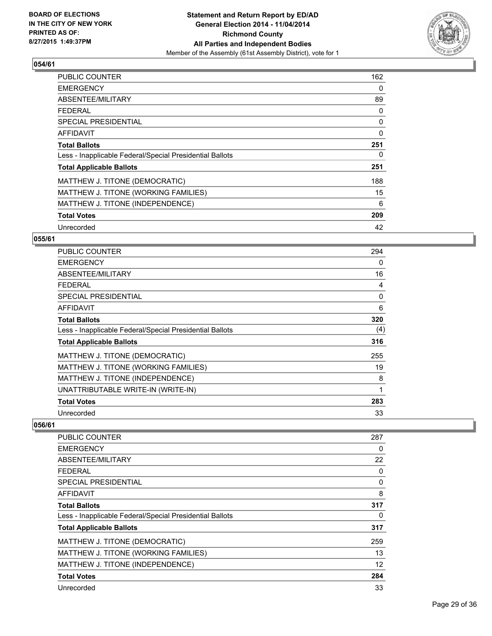

| <b>PUBLIC COUNTER</b>                                    | 162 |
|----------------------------------------------------------|-----|
| <b>EMERGENCY</b>                                         | 0   |
| ABSENTEE/MILITARY                                        | 89  |
| <b>FEDERAL</b>                                           | 0   |
| SPECIAL PRESIDENTIAL                                     | 0   |
| <b>AFFIDAVIT</b>                                         | 0   |
| <b>Total Ballots</b>                                     | 251 |
| Less - Inapplicable Federal/Special Presidential Ballots | 0   |
| <b>Total Applicable Ballots</b>                          | 251 |
| MATTHEW J. TITONE (DEMOCRATIC)                           | 188 |
| MATTHEW J. TITONE (WORKING FAMILIES)                     | 15  |
| MATTHEW J. TITONE (INDEPENDENCE)                         | 6   |
| <b>Total Votes</b>                                       | 209 |
| Unrecorded                                               | 42  |

#### **055/61**

| PUBLIC COUNTER                                           | 294 |
|----------------------------------------------------------|-----|
| <b>EMERGENCY</b>                                         | 0   |
| ABSENTEE/MILITARY                                        | 16  |
| <b>FEDERAL</b>                                           | 4   |
| <b>SPECIAL PRESIDENTIAL</b>                              | 0   |
| AFFIDAVIT                                                | 6   |
| <b>Total Ballots</b>                                     | 320 |
| Less - Inapplicable Federal/Special Presidential Ballots | (4) |
| <b>Total Applicable Ballots</b>                          | 316 |
| MATTHEW J. TITONE (DEMOCRATIC)                           | 255 |
| MATTHEW J. TITONE (WORKING FAMILIES)                     | 19  |
| MATTHEW J. TITONE (INDEPENDENCE)                         | 8   |
| UNATTRIBUTABLE WRITE-IN (WRITE-IN)                       | 1   |
| <b>Total Votes</b>                                       | 283 |
| Unrecorded                                               | 33  |

| <b>PUBLIC COUNTER</b>                                    | 287 |
|----------------------------------------------------------|-----|
| <b>EMERGENCY</b>                                         | 0   |
| ABSENTEE/MILITARY                                        | 22  |
| <b>FEDERAL</b>                                           | 0   |
| SPECIAL PRESIDENTIAL                                     | 0   |
| AFFIDAVIT                                                | 8   |
| <b>Total Ballots</b>                                     | 317 |
| Less - Inapplicable Federal/Special Presidential Ballots | 0   |
| <b>Total Applicable Ballots</b>                          | 317 |
| MATTHEW J. TITONE (DEMOCRATIC)                           | 259 |
| MATTHEW J. TITONE (WORKING FAMILIES)                     | 13  |
| MATTHEW J. TITONE (INDEPENDENCE)                         | 12  |
| <b>Total Votes</b>                                       | 284 |
| Unrecorded                                               | 33  |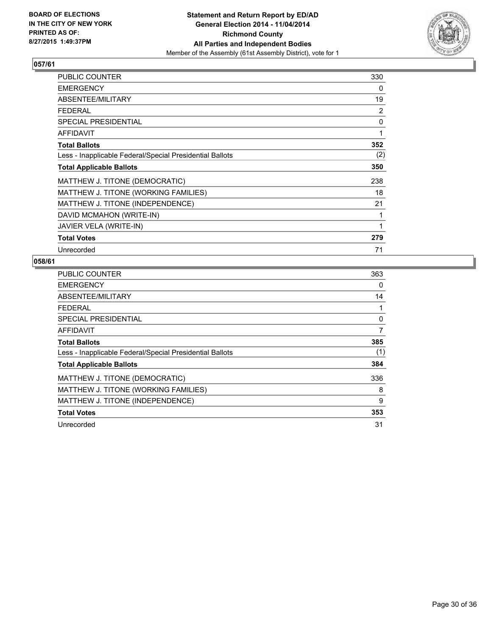

| PUBLIC COUNTER                                           | 330 |
|----------------------------------------------------------|-----|
| <b>EMERGENCY</b>                                         | 0   |
| ABSENTEE/MILITARY                                        | 19  |
| <b>FEDERAL</b>                                           | 2   |
| <b>SPECIAL PRESIDENTIAL</b>                              | 0   |
| <b>AFFIDAVIT</b>                                         | 1   |
| <b>Total Ballots</b>                                     | 352 |
| Less - Inapplicable Federal/Special Presidential Ballots | (2) |
| <b>Total Applicable Ballots</b>                          | 350 |
| MATTHEW J. TITONE (DEMOCRATIC)                           | 238 |
| MATTHEW J. TITONE (WORKING FAMILIES)                     | 18  |
| MATTHEW J. TITONE (INDEPENDENCE)                         | 21  |
| DAVID MCMAHON (WRITE-IN)                                 | 1   |
| JAVIER VELA (WRITE-IN)                                   | 1   |
| <b>Total Votes</b>                                       | 279 |
| Unrecorded                                               | 71  |

| <b>PUBLIC COUNTER</b>                                    | 363 |
|----------------------------------------------------------|-----|
| <b>EMERGENCY</b>                                         | 0   |
| ABSENTEE/MILITARY                                        | 14  |
| <b>FEDERAL</b>                                           |     |
| SPECIAL PRESIDENTIAL                                     | 0   |
| AFFIDAVIT                                                | 7   |
| <b>Total Ballots</b>                                     | 385 |
| Less - Inapplicable Federal/Special Presidential Ballots | (1) |
| <b>Total Applicable Ballots</b>                          | 384 |
| MATTHEW J. TITONE (DEMOCRATIC)                           | 336 |
| MATTHEW J. TITONE (WORKING FAMILIES)                     | 8   |
| MATTHEW J. TITONE (INDEPENDENCE)                         | 9   |
| <b>Total Votes</b>                                       | 353 |
| Unrecorded                                               | 31  |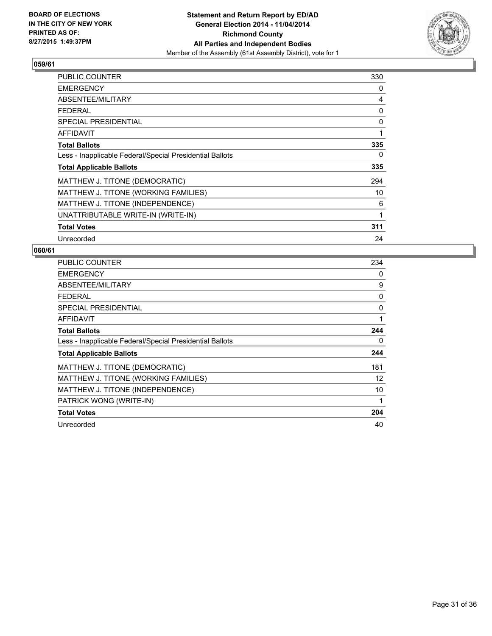

| <b>PUBLIC COUNTER</b>                                    | 330 |
|----------------------------------------------------------|-----|
| <b>EMERGENCY</b>                                         | 0   |
| ABSENTEE/MILITARY                                        | 4   |
| <b>FEDERAL</b>                                           | 0   |
| <b>SPECIAL PRESIDENTIAL</b>                              | 0   |
| <b>AFFIDAVIT</b>                                         | 1   |
| <b>Total Ballots</b>                                     | 335 |
| Less - Inapplicable Federal/Special Presidential Ballots | 0   |
| <b>Total Applicable Ballots</b>                          | 335 |
| MATTHEW J. TITONE (DEMOCRATIC)                           | 294 |
| MATTHEW J. TITONE (WORKING FAMILIES)                     | 10  |
| MATTHEW J. TITONE (INDEPENDENCE)                         | 6   |
| UNATTRIBUTABLE WRITE-IN (WRITE-IN)                       | 1   |
| <b>Total Votes</b>                                       | 311 |
| Unrecorded                                               | 24  |

| <b>PUBLIC COUNTER</b>                                    | 234 |
|----------------------------------------------------------|-----|
| <b>EMERGENCY</b>                                         | 0   |
| ABSENTEE/MILITARY                                        | 9   |
| <b>FEDERAL</b>                                           | 0   |
| <b>SPECIAL PRESIDENTIAL</b>                              | 0   |
| AFFIDAVIT                                                | 1   |
| <b>Total Ballots</b>                                     | 244 |
| Less - Inapplicable Federal/Special Presidential Ballots | 0   |
| <b>Total Applicable Ballots</b>                          | 244 |
| MATTHEW J. TITONE (DEMOCRATIC)                           | 181 |
| MATTHEW J. TITONE (WORKING FAMILIES)                     | 12  |
| MATTHEW J. TITONE (INDEPENDENCE)                         | 10  |
| PATRICK WONG (WRITE-IN)                                  | 1   |
| <b>Total Votes</b>                                       | 204 |
| Unrecorded                                               | 40  |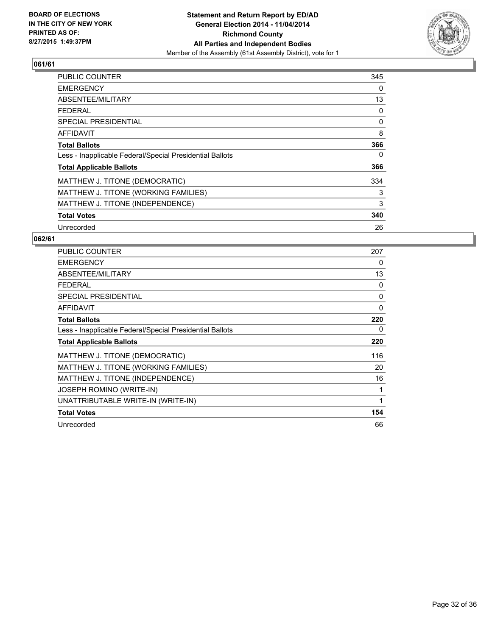

| <b>PUBLIC COUNTER</b>                                    | 345 |
|----------------------------------------------------------|-----|
| <b>EMERGENCY</b>                                         | 0   |
| ABSENTEE/MILITARY                                        | 13  |
| <b>FEDERAL</b>                                           | 0   |
| SPECIAL PRESIDENTIAL                                     | 0   |
| <b>AFFIDAVIT</b>                                         | 8   |
| <b>Total Ballots</b>                                     | 366 |
| Less - Inapplicable Federal/Special Presidential Ballots | 0   |
| <b>Total Applicable Ballots</b>                          | 366 |
| MATTHEW J. TITONE (DEMOCRATIC)                           | 334 |
| MATTHEW J. TITONE (WORKING FAMILIES)                     | 3   |
| MATTHEW J. TITONE (INDEPENDENCE)                         | 3   |
| <b>Total Votes</b>                                       | 340 |
| Unrecorded                                               | 26  |

| PUBLIC COUNTER                                           | 207      |
|----------------------------------------------------------|----------|
| <b>EMERGENCY</b>                                         | 0        |
| ABSENTEE/MILITARY                                        | 13       |
| <b>FEDERAL</b>                                           | $\Omega$ |
| <b>SPECIAL PRESIDENTIAL</b>                              | 0        |
| <b>AFFIDAVIT</b>                                         | $\Omega$ |
| <b>Total Ballots</b>                                     | 220      |
| Less - Inapplicable Federal/Special Presidential Ballots | 0        |
| <b>Total Applicable Ballots</b>                          | 220      |
| MATTHEW J. TITONE (DEMOCRATIC)                           | 116      |
| MATTHEW J. TITONE (WORKING FAMILIES)                     | 20       |
| MATTHEW J. TITONE (INDEPENDENCE)                         | 16       |
| JOSEPH ROMINO (WRITE-IN)                                 | 1        |
| UNATTRIBUTABLE WRITE-IN (WRITE-IN)                       | 1        |
|                                                          |          |
| <b>Total Votes</b>                                       | 154      |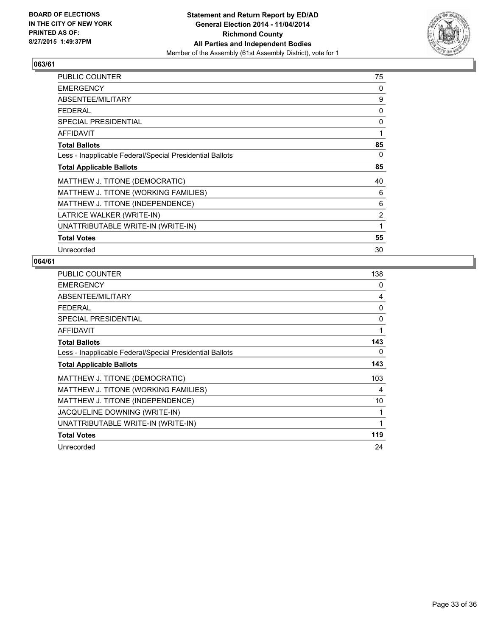

| PUBLIC COUNTER                                           | 75 |
|----------------------------------------------------------|----|
| <b>EMERGENCY</b>                                         | 0  |
| ABSENTEE/MILITARY                                        | 9  |
| <b>FEDERAL</b>                                           | 0  |
| <b>SPECIAL PRESIDENTIAL</b>                              | 0  |
| <b>AFFIDAVIT</b>                                         | 1  |
| <b>Total Ballots</b>                                     | 85 |
| Less - Inapplicable Federal/Special Presidential Ballots | 0  |
| <b>Total Applicable Ballots</b>                          | 85 |
| MATTHEW J. TITONE (DEMOCRATIC)                           | 40 |
| MATTHEW J. TITONE (WORKING FAMILIES)                     | 6  |
| MATTHEW J. TITONE (INDEPENDENCE)                         | 6  |
| LATRICE WALKER (WRITE-IN)                                | 2  |
| UNATTRIBUTABLE WRITE-IN (WRITE-IN)                       | 1  |
| <b>Total Votes</b>                                       | 55 |
| Unrecorded                                               | 30 |

| PUBLIC COUNTER                                           | 138 |
|----------------------------------------------------------|-----|
| <b>EMERGENCY</b>                                         | 0   |
| ABSENTEE/MILITARY                                        | 4   |
| <b>FEDERAL</b>                                           | 0   |
| <b>SPECIAL PRESIDENTIAL</b>                              | 0   |
| AFFIDAVIT                                                | 1   |
| <b>Total Ballots</b>                                     | 143 |
| Less - Inapplicable Federal/Special Presidential Ballots | 0   |
| <b>Total Applicable Ballots</b>                          | 143 |
| MATTHEW J. TITONE (DEMOCRATIC)                           | 103 |
| MATTHEW J. TITONE (WORKING FAMILIES)                     | 4   |
| MATTHEW J. TITONE (INDEPENDENCE)                         | 10  |
| JACQUELINE DOWNING (WRITE-IN)                            | 1   |
| UNATTRIBUTABLE WRITE-IN (WRITE-IN)                       | 1   |
| <b>Total Votes</b>                                       | 119 |
| Unrecorded                                               | 24  |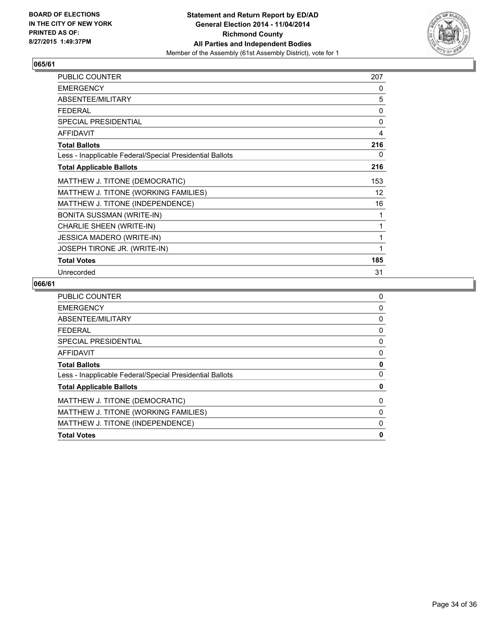

| PUBLIC COUNTER                                           | 207 |
|----------------------------------------------------------|-----|
| <b>EMERGENCY</b>                                         | 0   |
| ABSENTEE/MILITARY                                        | 5   |
| <b>FEDERAL</b>                                           | 0   |
| <b>SPECIAL PRESIDENTIAL</b>                              | 0   |
| <b>AFFIDAVIT</b>                                         | 4   |
| <b>Total Ballots</b>                                     | 216 |
| Less - Inapplicable Federal/Special Presidential Ballots | 0   |
| <b>Total Applicable Ballots</b>                          | 216 |
| MATTHEW J. TITONE (DEMOCRATIC)                           | 153 |
| MATTHEW J. TITONE (WORKING FAMILIES)                     | 12  |
| MATTHEW J. TITONE (INDEPENDENCE)                         | 16  |
| BONITA SUSSMAN (WRITE-IN)                                | 1   |
| <b>CHARLIE SHEEN (WRITE-IN)</b>                          | 1   |
| <b>JESSICA MADERO (WRITE-IN)</b>                         | 1   |
| JOSEPH TIRONE JR. (WRITE-IN)                             | 1   |
| <b>Total Votes</b>                                       | 185 |
| Unrecorded                                               | 31  |

| <b>PUBLIC COUNTER</b>                                    | 0 |
|----------------------------------------------------------|---|
| <b>EMERGENCY</b>                                         | 0 |
| ABSENTEE/MILITARY                                        | 0 |
| <b>FEDERAL</b>                                           | 0 |
| SPECIAL PRESIDENTIAL                                     | 0 |
| AFFIDAVIT                                                | 0 |
| <b>Total Ballots</b>                                     | 0 |
| Less - Inapplicable Federal/Special Presidential Ballots | 0 |
| <b>Total Applicable Ballots</b>                          | 0 |
| MATTHEW J. TITONE (DEMOCRATIC)                           | 0 |
| MATTHEW J. TITONE (WORKING FAMILIES)                     | 0 |
| MATTHEW J. TITONE (INDEPENDENCE)                         | 0 |
| <b>Total Votes</b>                                       | 0 |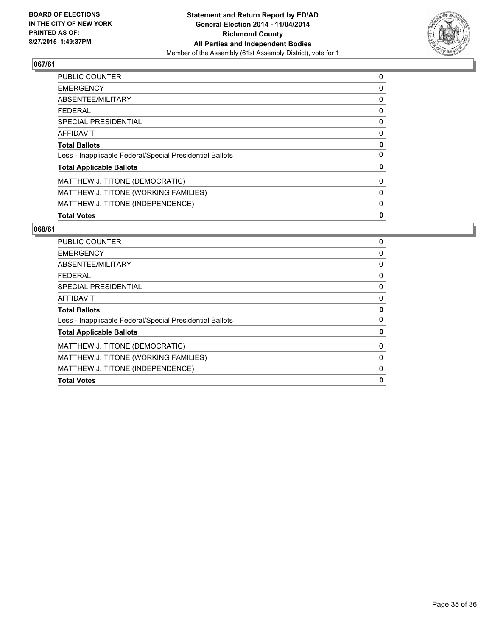

| <b>PUBLIC COUNTER</b>                                    | 0 |
|----------------------------------------------------------|---|
| <b>EMERGENCY</b>                                         | 0 |
| ABSENTEE/MILITARY                                        | 0 |
| <b>FEDERAL</b>                                           | 0 |
| <b>SPECIAL PRESIDENTIAL</b>                              | 0 |
| <b>AFFIDAVIT</b>                                         | 0 |
| <b>Total Ballots</b>                                     | 0 |
| Less - Inapplicable Federal/Special Presidential Ballots | 0 |
| <b>Total Applicable Ballots</b>                          | 0 |
| MATTHEW J. TITONE (DEMOCRATIC)                           | 0 |
| MATTHEW J. TITONE (WORKING FAMILIES)                     | 0 |
| MATTHEW J. TITONE (INDEPENDENCE)                         | 0 |
| <b>Total Votes</b>                                       | 0 |

| PUBLIC COUNTER                                           | 0 |
|----------------------------------------------------------|---|
| <b>EMERGENCY</b>                                         | 0 |
| ABSENTEE/MILITARY                                        | 0 |
| FFDFRAI                                                  | 0 |
| SPECIAL PRESIDENTIAL                                     | 0 |
| <b>AFFIDAVIT</b>                                         | 0 |
| <b>Total Ballots</b>                                     | 0 |
| Less - Inapplicable Federal/Special Presidential Ballots | 0 |
| <b>Total Applicable Ballots</b>                          | 0 |
| MATTHEW J. TITONE (DEMOCRATIC)                           | 0 |
| MATTHEW J. TITONE (WORKING FAMILIES)                     | 0 |
| MATTHEW J. TITONE (INDEPENDENCE)                         | 0 |
| <b>Total Votes</b>                                       | 0 |